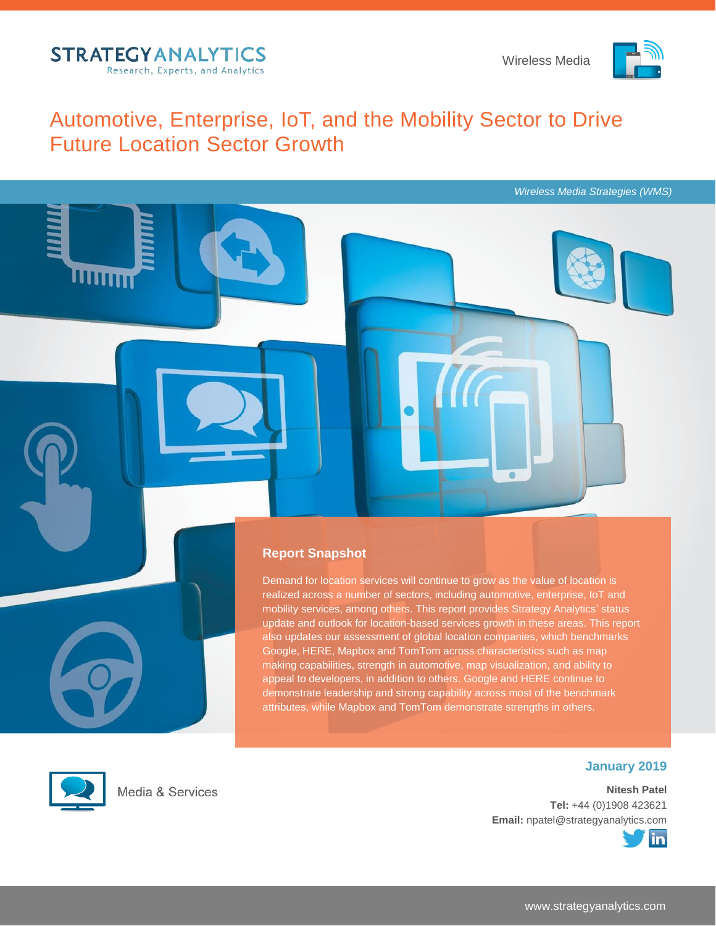

*Wireless Media Strategies (WMS)*

# Automotive, Enterprise, IoT, and the Mobility Sector to Drive Future Location Sector Growth



Demand for location services will continue to grow as the value of location is realized across a number of sectors, including automotive, enterprise, IoT and mobility services, among others. This report provides Strategy Analytics' status update and outlook for location-based services growth in these areas. This report also updates our assessment of global location companies, which benchmarks Google, HERE, Mapbox and TomTom across characteristics such as map making capabilities, strength in automotive, map visualization, and ability to appeal to developers, in addition to others. Google and HERE continue to demonstrate leadership and strong capability across most of the benchmark attributes, while Mapbox and TomTom demonstrate strengths in others.



Media & Services

## **January 2019**

**Nitesh Patel Tel:** +44 (0)1908 423621 **Email:** npatel@strategyanalytics.com

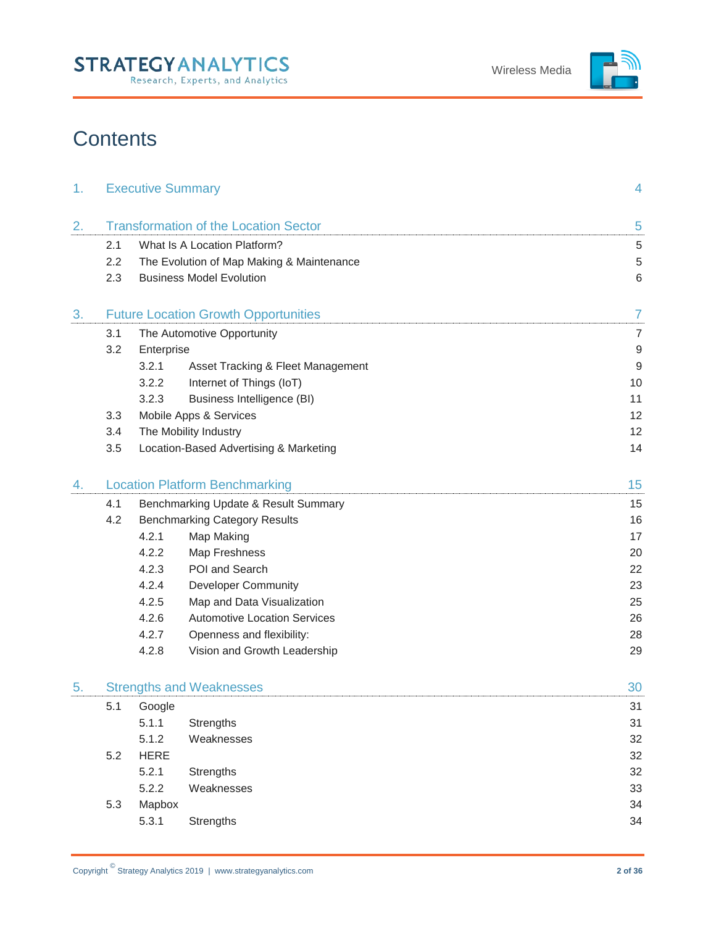

# **Contents**

| 1. |     | <b>Executive Summary</b> |                                              | 4                |
|----|-----|--------------------------|----------------------------------------------|------------------|
| 2. |     |                          | <b>Transformation of the Location Sector</b> | 5                |
|    | 2.1 |                          | What Is A Location Platform?                 | $\sqrt{5}$       |
|    | 2.2 |                          | The Evolution of Map Making & Maintenance    | $\sqrt{5}$       |
|    | 2.3 |                          | <b>Business Model Evolution</b>              | 6                |
| 3. |     |                          | <b>Future Location Growth Opportunities</b>  | $\overline{7}$   |
|    | 3.1 |                          | The Automotive Opportunity                   | $\overline{7}$   |
|    | 3.2 | Enterprise               |                                              | $\boldsymbol{9}$ |
|    |     | 3.2.1                    | Asset Tracking & Fleet Management            | $\boldsymbol{9}$ |
|    |     | 3.2.2                    | Internet of Things (IoT)                     | 10               |
|    |     | 3.2.3                    | <b>Business Intelligence (BI)</b>            | 11               |
|    | 3.3 |                          | Mobile Apps & Services                       | 12               |
|    | 3.4 |                          | The Mobility Industry                        | 12               |
|    | 3.5 |                          | Location-Based Advertising & Marketing       | 14               |
| 4. |     |                          | <b>Location Platform Benchmarking</b>        | 15               |
|    | 4.1 |                          | Benchmarking Update & Result Summary         | 15               |
|    | 4.2 |                          | <b>Benchmarking Category Results</b>         | 16               |
|    |     | 4.2.1                    | Map Making                                   | 17               |
|    |     | 4.2.2                    | Map Freshness                                | 20               |
|    |     | 4.2.3                    | POI and Search                               | 22               |
|    |     | 4.2.4                    | <b>Developer Community</b>                   | 23               |
|    |     | 4.2.5                    | Map and Data Visualization                   | 25               |
|    |     | 4.2.6                    | <b>Automotive Location Services</b>          | 26               |
|    |     | 4.2.7                    | Openness and flexibility:                    | 28               |
|    |     | 4.2.8                    | Vision and Growth Leadership                 | 29               |
| 5. |     |                          | <b>Strengths and Weaknesses</b>              | 30               |
|    | 5.1 | Google                   |                                              | 31               |
|    |     | 5.1.1                    | Strengths                                    | 31               |
|    |     | 5.1.2                    | Weaknesses                                   | 32               |
|    | 5.2 | <b>HERE</b>              |                                              | 32               |
|    |     | 5.2.1                    | Strengths                                    | 32               |
|    |     | 5.2.2                    | Weaknesses                                   | 33               |
|    | 5.3 | Mapbox                   |                                              | 34               |
|    |     | 5.3.1                    | Strengths                                    | 34               |
|    |     |                          |                                              |                  |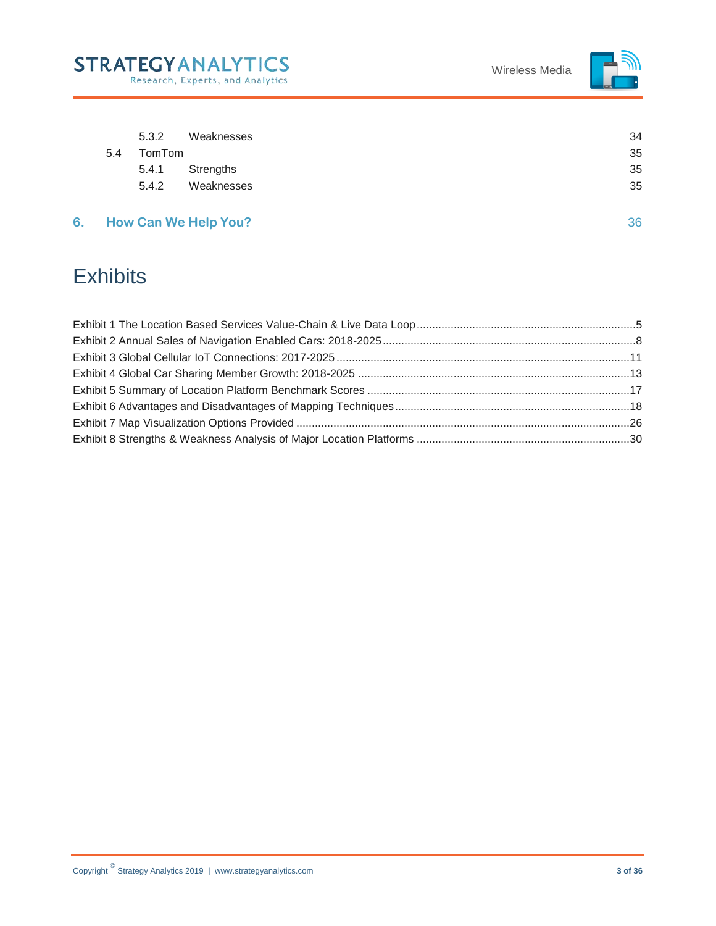



|    | 5.4 | 5.3.2<br>TomTom<br>5.4.1<br>5.4.2 | Weaknesses<br>Strengths<br>Weaknesses | 34<br>35<br>35<br>35 |
|----|-----|-----------------------------------|---------------------------------------|----------------------|
| 6. |     |                                   | <b>How Can We Help You?</b>           | 36                   |

# **Exhibits**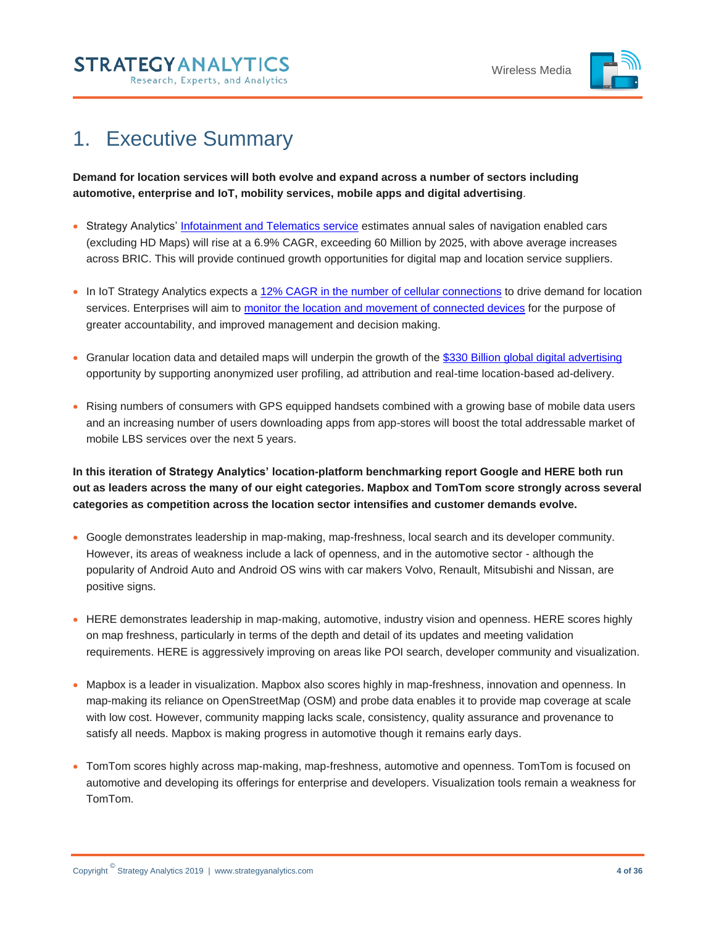

# <span id="page-3-0"></span>1. Executive Summary

**STRATEGYANALYTICS** 

Research, Experts, and Analytics

**Demand for location services will both evolve and expand across a number of sectors including automotive, enterprise and IoT, mobility services, mobile apps and digital advertising**.

- Strategy Analytics' [Infotainment and Telematics service](https://www.strategyanalytics.com/access-services/automotive/infotainment-and-telematics/about-infotainment-and-telematics) estimates annual sales of navigation enabled cars (excluding HD Maps) will rise at a 6.9% CAGR, exceeding 60 Million by 2025, with above average increases across BRIC. This will provide continued growth opportunities for digital map and location service suppliers.
- In IoT Strategy Analytics expects [a 12% CAGR in the number of cellular connections](https://www.strategyanalytics.com/access-services/enterprise/iot/market-data/report-detail/iot-cellular-connections-by-air-interface-and-industry-vertical) to drive demand for location services. Enterprises will aim to [monitor the location and movement of connected devices](https://www.strategyanalytics.com/access-services/enterprise/iot/reports/report-detail/the-top-10-trends-in-the-iot-in-2019) for the purpose of greater accountability, and improved management and decision making.
- Granular location data and detailed maps will underpin the growth of the [\\$330 Billion global digital advertising](https://www.strategyanalytics.com/access-services/media-and-services/in-the-home/tv-media-strategies/tv-media-strategies/market-data/report-detail/advertising-forecast-global-2010-2023) opportunity by supporting anonymized user profiling, ad attribution and real-time location-based ad-delivery.
- Rising numbers of consumers with GPS equipped handsets combined with a growing base of mobile data users and an increasing number of users downloading apps from app-stores will boost the total addressable market of mobile LBS services over the next 5 years.

**In this iteration of Strategy Analytics' location-platform benchmarking report Google and HERE both run out as leaders across the many of our eight categories. Mapbox and TomTom score strongly across several categories as competition across the location sector intensifies and customer demands evolve.**

- Google demonstrates leadership in map-making, map-freshness, local search and its developer community. However, its areas of weakness include a lack of openness, and in the automotive sector - although the popularity of Android Auto and Android OS wins with car makers Volvo, Renault, Mitsubishi and Nissan, are positive signs.
- HERE demonstrates leadership in map-making, automotive, industry vision and openness. HERE scores highly on map freshness, particularly in terms of the depth and detail of its updates and meeting validation requirements. HERE is aggressively improving on areas like POI search, developer community and visualization.
- Mapbox is a leader in visualization. Mapbox also scores highly in map-freshness, innovation and openness. In map-making its reliance on OpenStreetMap (OSM) and probe data enables it to provide map coverage at scale with low cost. However, community mapping lacks scale, consistency, quality assurance and provenance to satisfy all needs. Mapbox is making progress in automotive though it remains early days.
- TomTom scores highly across map-making, map-freshness, automotive and openness. TomTom is focused on automotive and developing its offerings for enterprise and developers. Visualization tools remain a weakness for TomTom.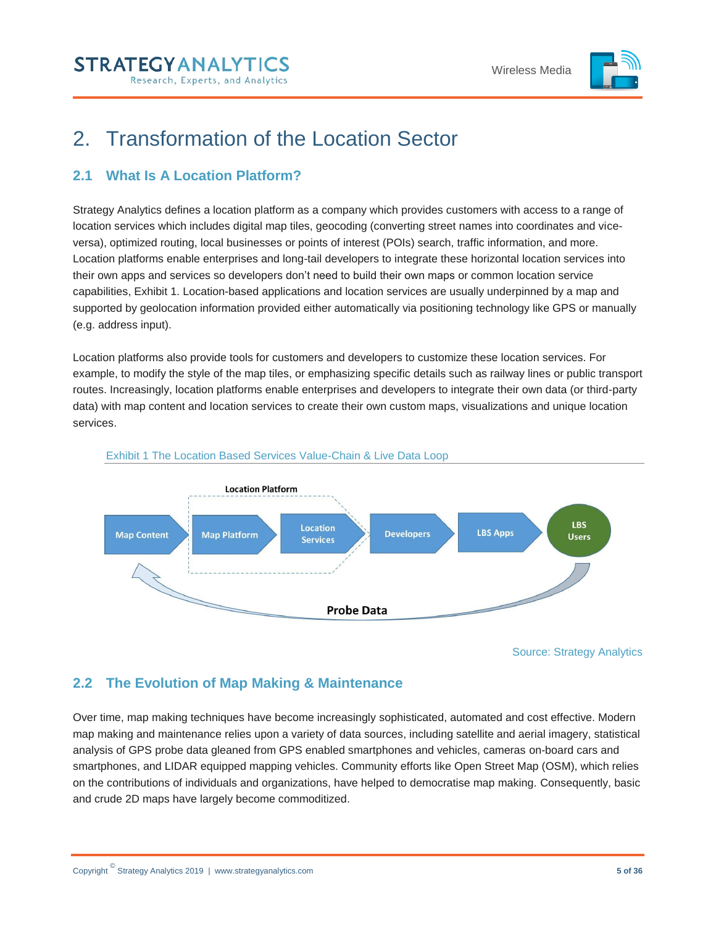

# <span id="page-4-0"></span>2. Transformation of the Location Sector

# <span id="page-4-1"></span>**2.1 What Is A Location Platform?**

Strategy Analytics defines a location platform as a company which provides customers with access to a range of location services which includes digital map tiles, geocoding (converting street names into coordinates and viceversa), optimized routing, local businesses or points of interest (POIs) search, traffic information, and more. Location platforms enable enterprises and long-tail developers to integrate these horizontal location services into their own apps and services so developers don't need to build their own maps or common location service capabilities, Exhibit 1. Location-based applications and location services are usually underpinned by a map and supported by geolocation information provided either automatically via positioning technology like GPS or manually (e.g. address input).

Location platforms also provide tools for customers and developers to customize these location services. For example, to modify the style of the map tiles, or emphasizing specific details such as railway lines or public transport routes. Increasingly, location platforms enable enterprises and developers to integrate their own data (or third-party data) with map content and location services to create their own custom maps, visualizations and unique location services.

<span id="page-4-3"></span>

#### Exhibit 1 The Location Based Services Value-Chain & Live Data Loop

Source: Strategy Analytics

# <span id="page-4-2"></span>**2.2 The Evolution of Map Making & Maintenance**

Over time, map making techniques have become increasingly sophisticated, automated and cost effective. Modern map making and maintenance relies upon a variety of data sources, including satellite and aerial imagery, statistical analysis of GPS probe data gleaned from GPS enabled smartphones and vehicles, cameras on-board cars and smartphones, and LIDAR equipped mapping vehicles. Community efforts like Open Street Map (OSM), which relies on the contributions of individuals and organizations, have helped to democratise map making. Consequently, basic and crude 2D maps have largely become commoditized.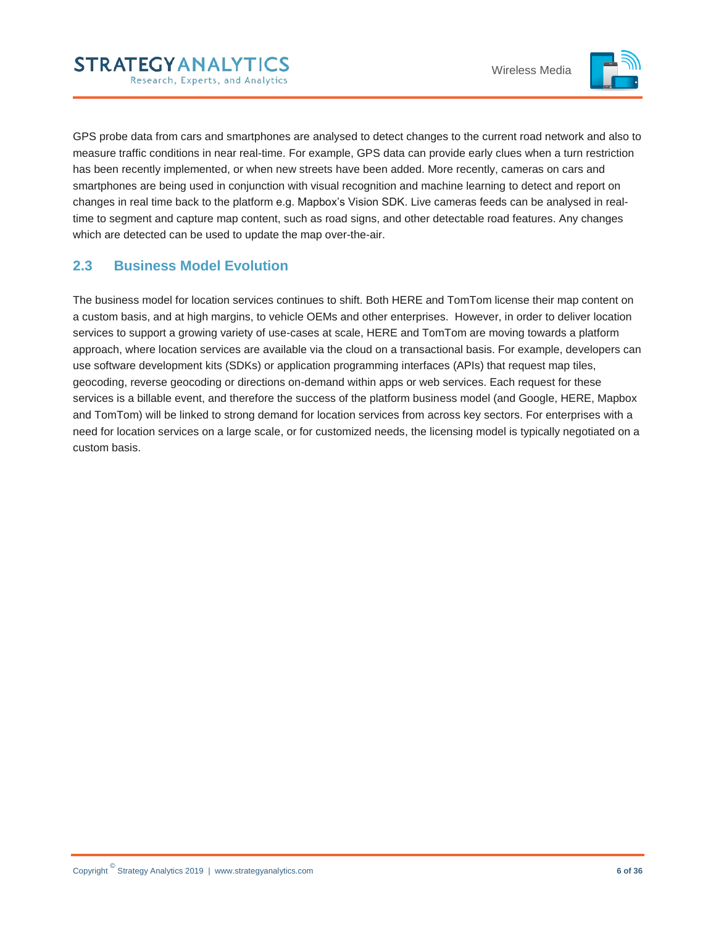

GPS probe data from cars and smartphones are analysed to detect changes to the current road network and also to measure traffic conditions in near real-time. For example, GPS data can provide early clues when a turn restriction has been recently implemented, or when new streets have been added. More recently, cameras on cars and smartphones are being used in conjunction with visual recognition and machine learning to detect and report on changes in real time back to the platform e.g. Mapbox's Vision SDK. Live cameras feeds can be analysed in realtime to segment and capture map content, such as road signs, and other detectable road features. Any changes which are detected can be used to update the map over-the-air.

# <span id="page-5-0"></span>**2.3 Business Model Evolution**

The business model for location services continues to shift. Both HERE and TomTom license their map content on a custom basis, and at high margins, to vehicle OEMs and other enterprises. However, in order to deliver location services to support a growing variety of use-cases at scale, HERE and TomTom are moving towards a platform approach, where location services are available via the cloud on a transactional basis. For example, developers can use software development kits (SDKs) or application programming interfaces (APIs) that request map tiles, geocoding, reverse geocoding or directions on-demand within apps or web services. Each request for these services is a billable event, and therefore the success of the platform business model (and Google, HERE, Mapbox and TomTom) will be linked to strong demand for location services from across key sectors. For enterprises with a need for location services on a large scale, or for customized needs, the licensing model is typically negotiated on a custom basis.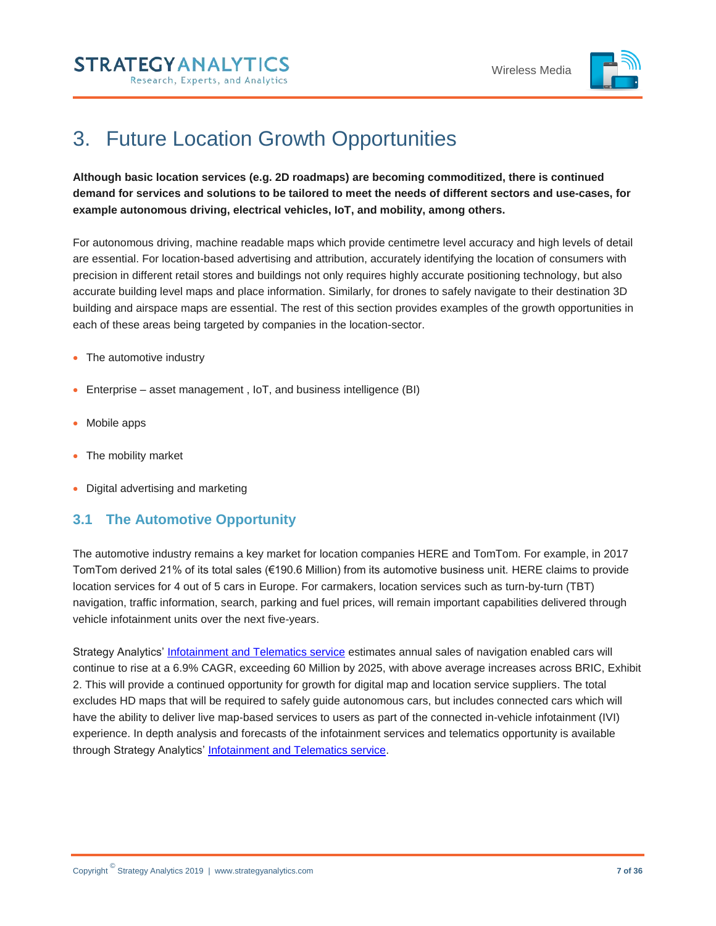



# <span id="page-6-0"></span>3. Future Location Growth Opportunities

**Although basic location services (e.g. 2D roadmaps) are becoming commoditized, there is continued demand for services and solutions to be tailored to meet the needs of different sectors and use-cases, for example autonomous driving, electrical vehicles, IoT, and mobility, among others.** 

For autonomous driving, machine readable maps which provide centimetre level accuracy and high levels of detail are essential. For location-based advertising and attribution, accurately identifying the location of consumers with precision in different retail stores and buildings not only requires highly accurate positioning technology, but also accurate building level maps and place information. Similarly, for drones to safely navigate to their destination 3D building and airspace maps are essential. The rest of this section provides examples of the growth opportunities in each of these areas being targeted by companies in the location-sector.

- The automotive industry
- Enterprise asset management , IoT, and business intelligence (BI)
- Mobile apps
- The mobility market
- Digital advertising and marketing

## <span id="page-6-1"></span>**3.1 The Automotive Opportunity**

The automotive industry remains a key market for location companies HERE and TomTom. For example, in 2017 TomTom derived 21% of its total sales (€190.6 Million) from its automotive business unit. HERE claims to provide location services for 4 out of 5 cars in Europe. For carmakers, location services such as turn-by-turn (TBT) navigation, traffic information, search, parking and fuel prices, will remain important capabilities delivered through vehicle infotainment units over the next five-years.

Strategy Analytics' [Infotainment and Telematics service](https://www.strategyanalytics.com/access-services/automotive/infotainment-and-telematics/about-infotainment-and-telematics) estimates annual sales of navigation enabled cars will continue to rise at a 6.9% CAGR, exceeding 60 Million by 2025, with above average increases across BRIC, Exhibit 2. This will provide a continued opportunity for growth for digital map and location service suppliers. The total excludes HD maps that will be required to safely guide autonomous cars, but includes connected cars which will have the ability to deliver live map-based services to users as part of the connected in-vehicle infotainment (IVI) experience. In depth analysis and forecasts of the infotainment services and telematics opportunity is available through Strategy Analytics' [Infotainment and Telematics service.](https://www.strategyanalytics.com/access-services/automotive/infotainment-and-telematics/about-infotainment-and-telematics)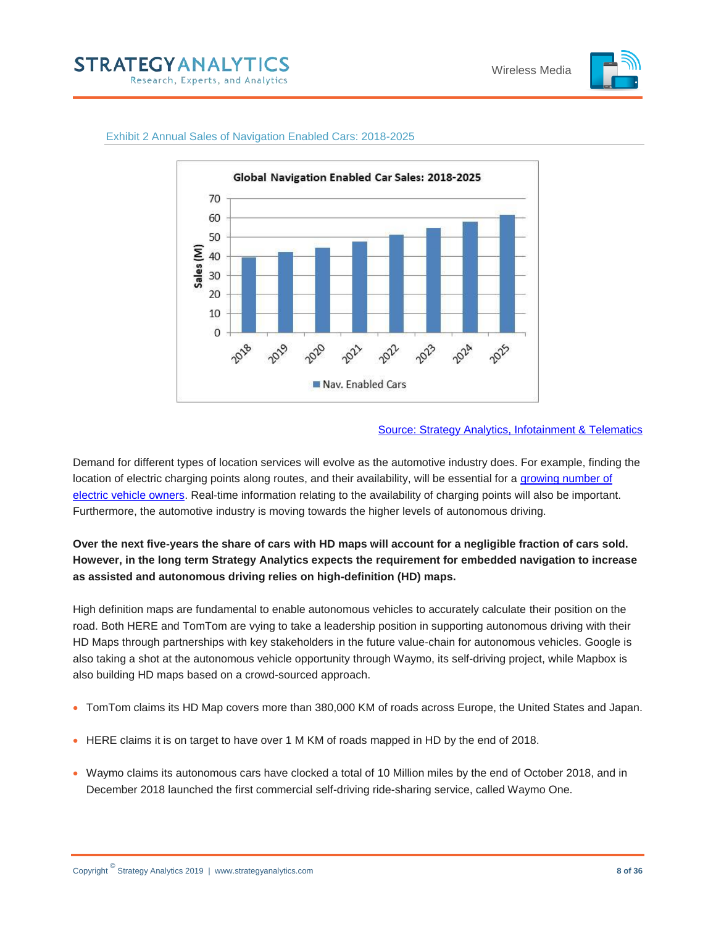



#### <span id="page-7-0"></span>Exhibit 2 Annual Sales of Navigation Enabled Cars: 2018-2025

#### [Source: Strategy Analytics, Infotainment & Telematics](https://www.strategyanalytics.com/access-services/automotive/infotainment-and-telematics/market-data)

Demand for different types of location services will evolve as the automotive industry does. For example, finding the location of electric charging points along routes, and their availability, will be essential for a growing number of [electric vehicle owners.](https://www.strategyanalytics.com/access-services/automotive/powertrain-body-chassis-and-safety/market-data/report-detail/hev-ev-market-forecast-oct-2018?Related) Real-time information relating to the availability of charging points will also be important. Furthermore, the automotive industry is moving towards the higher levels of autonomous driving.

## **Over the next five-years the share of cars with HD maps will account for a negligible fraction of cars sold. However, in the long term Strategy Analytics expects the requirement for embedded navigation to increase as assisted and autonomous driving relies on high-definition (HD) maps.**

High definition maps are fundamental to enable autonomous vehicles to accurately calculate their position on the road. Both HERE and TomTom are vying to take a leadership position in supporting autonomous driving with their HD Maps through partnerships with key stakeholders in the future value-chain for autonomous vehicles. Google is also taking a shot at the autonomous vehicle opportunity through Waymo, its self-driving project, while Mapbox is also building HD maps based on a crowd-sourced approach.

- TomTom claims its HD Map covers more than 380,000 KM of roads across Europe, the United States and Japan.
- HERE claims it is on target to have over 1 M KM of roads mapped in HD by the end of 2018.
- Waymo claims its autonomous cars have clocked a total of 10 Million miles by the end of October 2018, and in December 2018 launched the first commercial self-driving ride-sharing service, called Waymo One.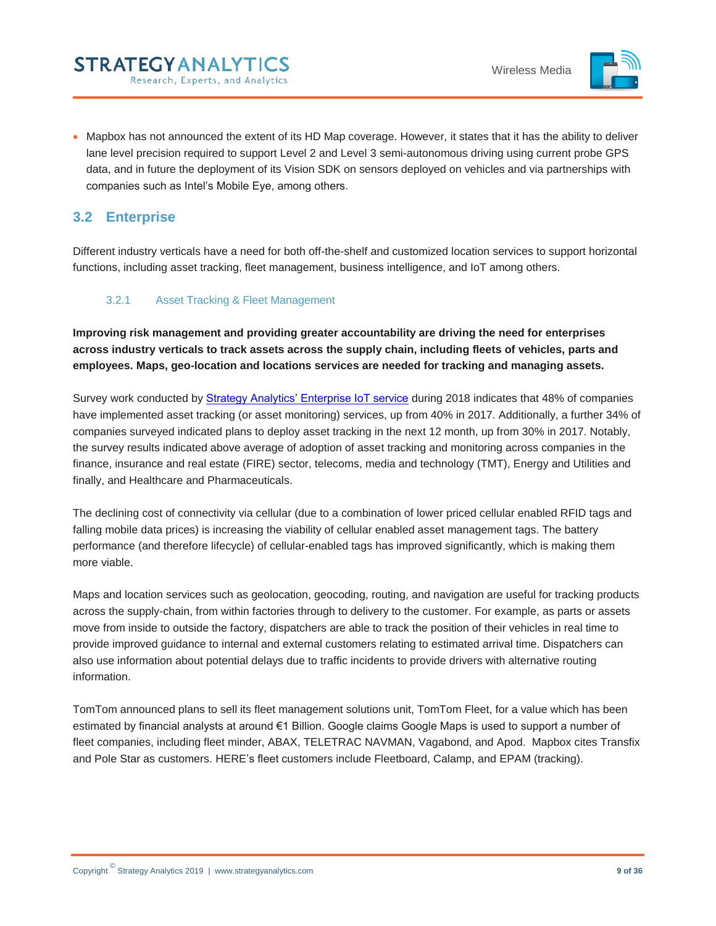

 Mapbox has not announced the extent of its HD Map coverage. However, it states that it has the ability to deliver lane level precision required to support Level 2 and Level 3 semi-autonomous driving using current probe GPS data, and in future the deployment of its Vision SDK on sensors deployed on vehicles and via partnerships with companies such as Intel's Mobile Eye, among others.

# <span id="page-8-0"></span>**3.2 Enterprise**

Different industry verticals have a need for both off-the-shelf and customized location services to support horizontal functions, including asset tracking, fleet management, business intelligence, and IoT among others.

## <span id="page-8-1"></span>3.2.1 Asset Tracking & Fleet Management

**Improving risk management and providing greater accountability are driving the need for enterprises across industry verticals to track assets across the supply chain, including fleets of vehicles, parts and employees. Maps, geo-location and locations services are needed for tracking and managing assets.** 

Survey work conducted by [Strategy Analytics' Enterprise IoT service](https://www.strategyanalytics.com/access-services/enterprise/iot/about-iot) during 2018 indicates that 48% of companies have implemented asset tracking (or asset monitoring) services, up from 40% in 2017. Additionally, a further 34% of companies surveyed indicated plans to deploy asset tracking in the next 12 month, up from 30% in 2017. Notably, the survey results indicated above average of adoption of asset tracking and monitoring across companies in the finance, insurance and real estate (FIRE) sector, telecoms, media and technology (TMT), Energy and Utilities and finally, and Healthcare and Pharmaceuticals.

The declining cost of connectivity via cellular (due to a combination of lower priced cellular enabled RFID tags and falling mobile data prices) is increasing the viability of cellular enabled asset management tags. The battery performance (and therefore lifecycle) of cellular-enabled tags has improved significantly, which is making them more viable.

Maps and location services such as geolocation, geocoding, routing, and navigation are useful for tracking products across the supply-chain, from within factories through to delivery to the customer. For example, as parts or assets move from inside to outside the factory, dispatchers are able to track the position of their vehicles in real time to provide improved guidance to internal and external customers relating to estimated arrival time. Dispatchers can also use information about potential delays due to traffic incidents to provide drivers with alternative routing information.

TomTom announced plans to sell its fleet management solutions unit, TomTom Fleet, for a value which has been estimated by financial analysts at around €1 Billion. Google claims Google Maps is used to support a number of fleet companies, including fleet minder, ABAX, TELETRAC NAVMAN, Vagabond, and Apod. Mapbox cites Transfix and Pole Star as customers. HERE's fleet customers include Fleetboard, Calamp, and EPAM (tracking).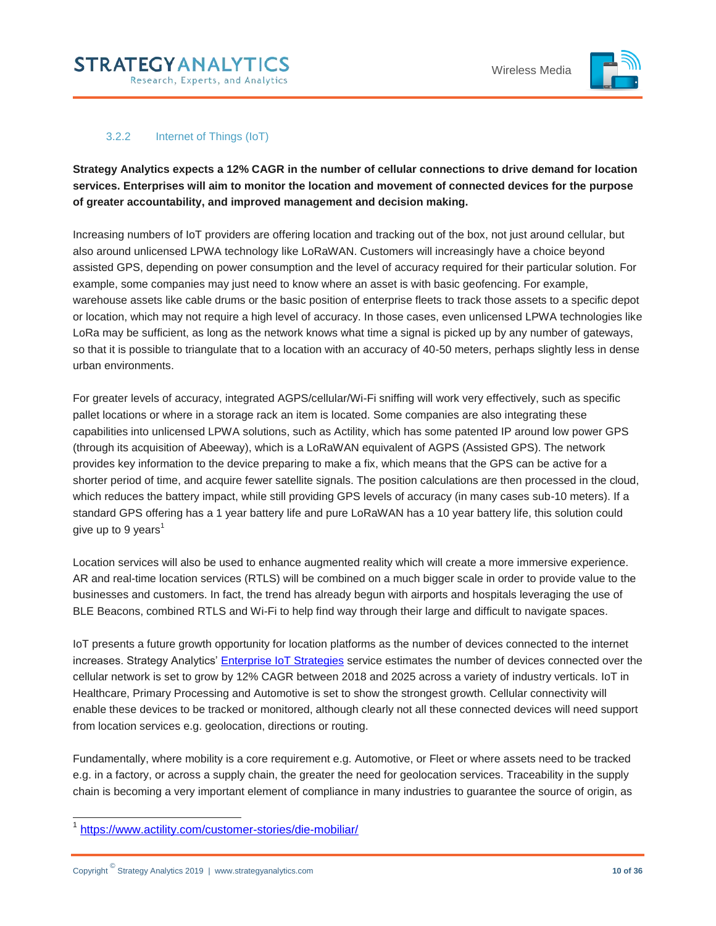

## 3.2.2 Internet of Things (IoT)

<span id="page-9-0"></span>**Strategy Analytics expects a 12% CAGR in the number of cellular connections to drive demand for location services. Enterprises will aim to monitor the location and movement of connected devices for the purpose of greater accountability, and improved management and decision making.** 

Increasing numbers of IoT providers are offering location and tracking out of the box, not just around cellular, but also around unlicensed LPWA technology like LoRaWAN. Customers will increasingly have a choice beyond assisted GPS, depending on power consumption and the level of accuracy required for their particular solution. For example, some companies may just need to know where an asset is with basic geofencing. For example, warehouse assets like cable drums or the basic position of enterprise fleets to track those assets to a specific depot or location, which may not require a high level of accuracy. In those cases, even unlicensed LPWA technologies like LoRa may be sufficient, as long as the network knows what time a signal is picked up by any number of gateways, so that it is possible to triangulate that to a location with an accuracy of 40-50 meters, perhaps slightly less in dense urban environments.

For greater levels of accuracy, integrated AGPS/cellular/Wi-Fi sniffing will work very effectively, such as specific pallet locations or where in a storage rack an item is located. Some companies are also integrating these capabilities into unlicensed LPWA solutions, such as Actility, which has some patented IP around low power GPS (through its acquisition of Abeeway), which is a LoRaWAN equivalent of AGPS (Assisted GPS). The network provides key information to the device preparing to make a fix, which means that the GPS can be active for a shorter period of time, and acquire fewer satellite signals. The position calculations are then processed in the cloud, which reduces the battery impact, while still providing GPS levels of accuracy (in many cases sub-10 meters). If a standard GPS offering has a 1 year battery life and pure LoRaWAN has a 10 year battery life, this solution could give up to 9 years<sup>1</sup>

Location services will also be used to enhance augmented reality which will create a more immersive experience. AR and real-time location services (RTLS) will be combined on a much bigger scale in order to provide value to the businesses and customers. In fact, the trend has already begun with airports and hospitals leveraging the use of BLE Beacons, combined RTLS and Wi-Fi to help find way through their large and difficult to navigate spaces.

IoT presents a future growth opportunity for location platforms as the number of devices connected to the internet increases. Strategy Analytics' [Enterprise IoT Strategies](https://www.strategyanalytics.com/access-services/enterprise/iot/about-iot) service estimates the number of devices connected over the cellular network is set to grow by 12% CAGR between 2018 and 2025 across a variety of industry verticals. IoT in Healthcare, Primary Processing and Automotive is set to show the strongest growth. Cellular connectivity will enable these devices to be tracked or monitored, although clearly not all these connected devices will need support from location services e.g. geolocation, directions or routing.

Fundamentally, where mobility is a core requirement e.g. Automotive, or Fleet or where assets need to be tracked e.g. in a factory, or across a supply chain, the greater the need for geolocation services. Traceability in the supply chain is becoming a very important element of compliance in many industries to guarantee the source of origin, as

 $\overline{a}$ 1 <https://www.actility.com/customer-stories/die-mobiliar/>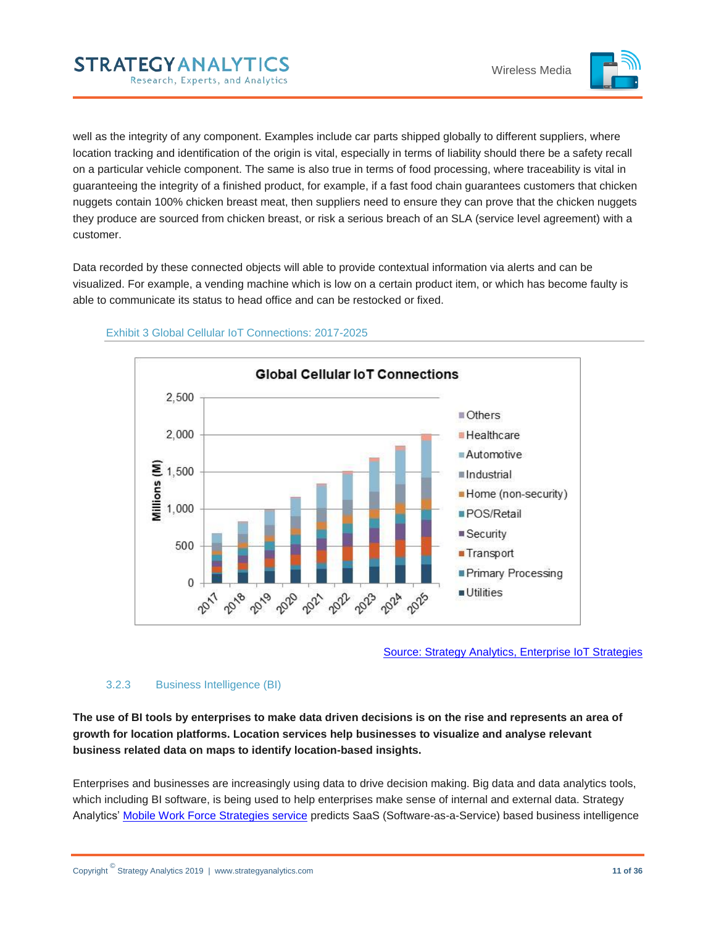

well as the integrity of any component. Examples include car parts shipped globally to different suppliers, where location tracking and identification of the origin is vital, especially in terms of liability should there be a safety recall on a particular vehicle component. The same is also true in terms of food processing, where traceability is vital in guaranteeing the integrity of a finished product, for example, if a fast food chain guarantees customers that chicken nuggets contain 100% chicken breast meat, then suppliers need to ensure they can prove that the chicken nuggets they produce are sourced from chicken breast, or risk a serious breach of an SLA (service level agreement) with a customer.

Data recorded by these connected objects will able to provide contextual information via alerts and can be visualized. For example, a vending machine which is low on a certain product item, or which has become faulty is able to communicate its status to head office and can be restocked or fixed.



#### <span id="page-10-1"></span>Exhibit 3 Global Cellular IoT Connections: 2017-2025

**STRATEGYANALYTICS** 

Research, Experts, and Analytics

Source: Strategy Analytics, [Enterprise IoT Strategies](https://www.strategyanalytics.com/access-services/enterprise/iot/market-data/report-detail/iot-cellular-connections-by-air-interface-and-industry-vertical)

#### <span id="page-10-0"></span>3.2.3 Business Intelligence (BI)

**The use of BI tools by enterprises to make data driven decisions is on the rise and represents an area of growth for location platforms. Location services help businesses to visualize and analyse relevant business related data on maps to identify location-based insights.** 

Enterprises and businesses are increasingly using data to drive decision making. Big data and data analytics tools, which including BI software, is being used to help enterprises make sense of internal and external data. Strategy Analytics' [Mobile Work Force Strategies service](https://www.strategyanalytics.com/access-services/enterprise/mobile-workforce/about-mobile-workforce) predicts SaaS (Software-as-a-Service) based business intelligence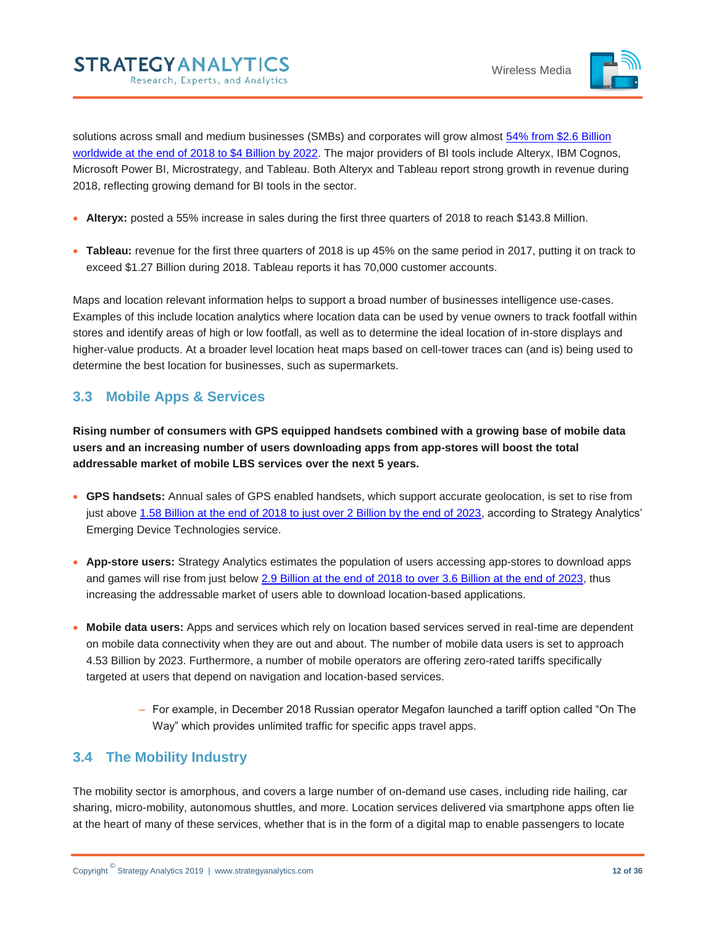

solutions across small and medium businesses (SMBs) and corporates will grow almost 54% from \$2.6 Billion [worldwide at the end of 2018 to \\$4 Billion by 2022.](https://www.strategyanalytics.com/access-services/enterprise/mobile-workforce/reports/report-detail/global-corporate-mobile-saas-forecast-2016-2022?slid=708995&spg=1) The major providers of BI tools include Alteryx, IBM Cognos, Microsoft Power BI, Microstrategy, and Tableau. Both Alteryx and Tableau report strong growth in revenue during 2018, reflecting growing demand for BI tools in the sector.

- **Alteryx:** posted a 55% increase in sales during the first three quarters of 2018 to reach \$143.8 Million.
- **Tableau:** revenue for the first three quarters of 2018 is up 45% on the same period in 2017, putting it on track to exceed \$1.27 Billion during 2018. Tableau reports it has 70,000 customer accounts.

Maps and location relevant information helps to support a broad number of businesses intelligence use-cases. Examples of this include location analytics where location data can be used by venue owners to track footfall within stores and identify areas of high or low footfall, as well as to determine the ideal location of in-store displays and higher-value products. At a broader level location heat maps based on cell-tower traces can (and is) being used to determine the best location for businesses, such as supermarkets.

# <span id="page-11-0"></span>**3.3 Mobile Apps & Services**

**Rising number of consumers with GPS equipped handsets combined with a growing base of mobile data users and an increasing number of users downloading apps from app-stores will boost the total addressable market of mobile LBS services over the next 5 years.** 

- **GPS handsets:** Annual sales of GPS enabled handsets, which support accurate geolocation, is set to rise from just above [1.58 Billion at the end of 2018 to just over 2 Billion by the end of 2023,](https://www.strategyanalytics.com/access-services/devices/mobile-phones/emerging-devices/reports/report-detail/global-handset-and-smartphone-enabling-technologies-forecasts-a-to-z-2008-to-2023?slid=718674&spg=11) according to Strategy Analytics' Emerging Device Technologies service.
- **App-store users:** Strategy Analytics estimates the population of users accessing app-stores to download apps and games will rise from just belo[w 2.9 Billion at the end of 2018 to over 3.6 Billion at the end of 2023,](https://www.strategyanalytics.com/access-services/media-and-services/mobile/wireless-media/wireless-media/market-data/report-detail/global-mobile-media-forecast-update-2011-2023) thus increasing the addressable market of users able to download location-based applications.
- **Mobile data users:** Apps and services which rely on location based services served in real-time are dependent on mobile data connectivity when they are out and about. The number of mobile data users is set to approach 4.53 Billion by 2023. Furthermore, a number of mobile operators are offering zero-rated tariffs specifically targeted at users that depend on navigation and location-based services.
	- For example, in December 2018 Russian operator Megafon launched a tariff option called "On The Way" which provides unlimited traffic for specific apps travel apps.

# <span id="page-11-1"></span>**3.4 The Mobility Industry**

The mobility sector is amorphous, and covers a large number of on-demand use cases, including ride hailing, car sharing, micro-mobility, autonomous shuttles, and more. Location services delivered via smartphone apps often lie at the heart of many of these services, whether that is in the form of a digital map to enable passengers to locate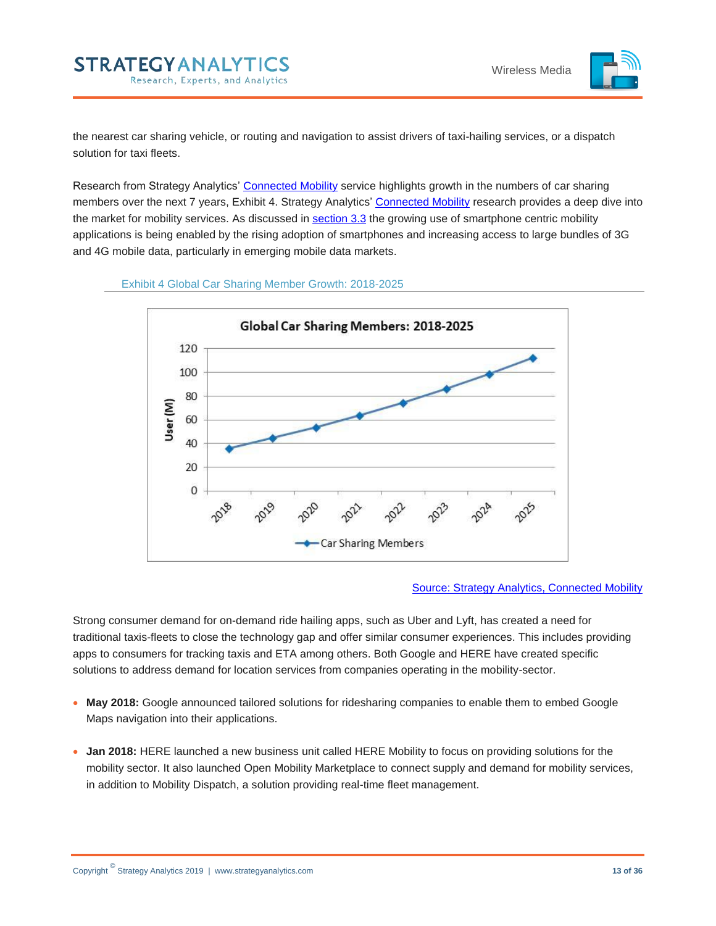

the nearest car sharing vehicle, or routing and navigation to assist drivers of taxi-hailing services, or a dispatch solution for taxi fleets.

Research from Strategy Analytics' [Connected Mobility](https://www.strategyanalytics.com/access-services/automotive/connected-mobility/about-automotive-connected-mobility) service highlights growth in the numbers of car sharing members over the next 7 years, Exhibit 4. Strategy Analytics' [Connected Mobility](https://www.strategyanalytics.com/access-services/automotive/connected-mobility/about-automotive-connected-mobility) research provides a deep dive into the market for mobility services. As discussed in [section 3.3](#page-11-0) the growing use of smartphone centric mobility applications is being enabled by the rising adoption of smartphones and increasing access to large bundles of 3G and 4G mobile data, particularly in emerging mobile data markets.

<span id="page-12-0"></span>



#### [Source: Strategy Analytics, Connected Mobility](https://www.strategyanalytics.com/access-services/automotive/connected-mobility/about-automotive-connected-mobility)

Strong consumer demand for on-demand ride hailing apps, such as Uber and Lyft, has created a need for traditional taxis-fleets to close the technology gap and offer similar consumer experiences. This includes providing apps to consumers for tracking taxis and ETA among others. Both Google and HERE have created specific solutions to address demand for location services from companies operating in the mobility-sector.

- **May 2018:** Google announced tailored solutions for ridesharing companies to enable them to embed Google Maps navigation into their applications.
- **Jan 2018:** HERE launched a new business unit called HERE Mobility to focus on providing solutions for the mobility sector. It also launched Open Mobility Marketplace to connect supply and demand for mobility services, in addition to Mobility Dispatch, a solution providing real-time fleet management.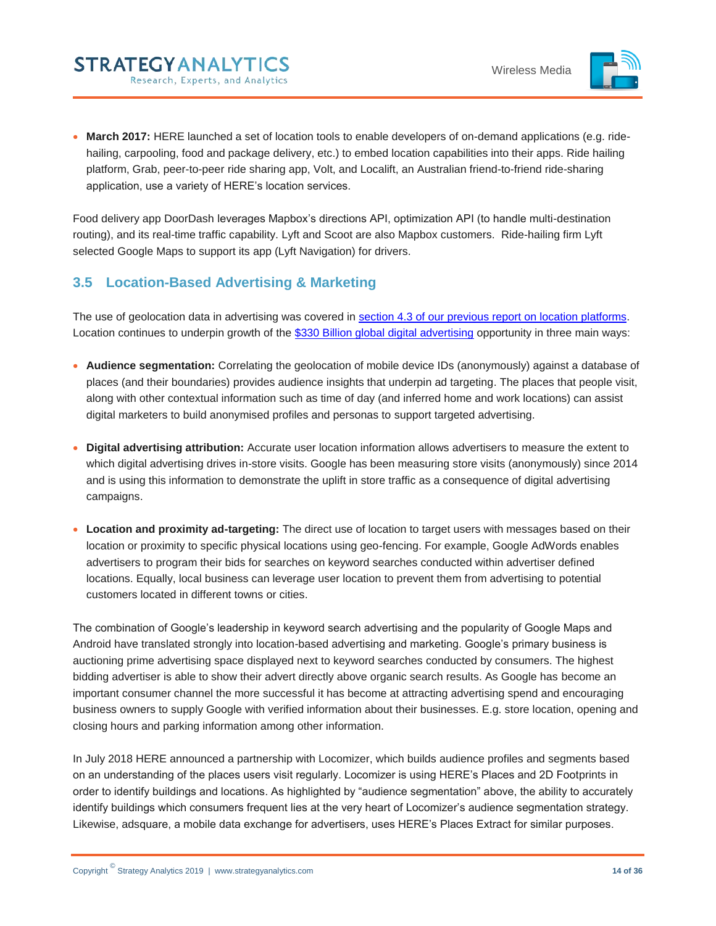

 **March 2017:** HERE launched a set of location tools to enable developers of on-demand applications (e.g. ridehailing, carpooling, food and package delivery, etc.) to embed location capabilities into their apps. Ride hailing platform, Grab, peer-to-peer ride sharing app, Volt, and Localift, an Australian friend-to-friend ride-sharing application, use a variety of HERE's location services.

Food delivery app DoorDash leverages Mapbox's directions API, optimization API (to handle multi-destination routing), and its real-time traffic capability. Lyft and Scoot are also Mapbox customers. Ride-hailing firm Lyft selected Google Maps to support its app (Lyft Navigation) for drivers.

# <span id="page-13-0"></span>**3.5 Location-Based Advertising & Marketing**

**STRATEGYANALYTICS** 

Research, Experts, and Analytics

The use of geolocation data in advertising was covered in [section 4.3 of our previous report on location platforms.](https://www.strategyanalytics.com/access-services/media-and-services/mobile/wireless-media/wireless-media/reports/report-detail/here-extends-leadership-in-mobile-location-platforms?slid=708784&spg=2) Location continues to underpin growth of the [\\$330 Billion global digital advertising](https://www.strategyanalytics.com/access-services/media-and-services/in-the-home/tv-media-strategies/tv-media-strategies/market-data/report-detail/advertising-forecast-global-2010-2023) opportunity in three main ways:

- **Audience segmentation:** Correlating the geolocation of mobile device IDs (anonymously) against a database of places (and their boundaries) provides audience insights that underpin ad targeting. The places that people visit, along with other contextual information such as time of day (and inferred home and work locations) can assist digital marketers to build anonymised profiles and personas to support targeted advertising.
- **Digital advertising attribution:** Accurate user location information allows advertisers to measure the extent to which digital advertising drives in-store visits. Google has been measuring store visits (anonymously) since 2014 and is using this information to demonstrate the uplift in store traffic as a consequence of digital advertising campaigns.
- **Location and proximity ad-targeting:** The direct use of location to target users with messages based on their location or proximity to specific physical locations using geo-fencing. For example, Google AdWords enables advertisers to program their bids for searches on keyword searches conducted within advertiser defined locations. Equally, local business can leverage user location to prevent them from advertising to potential customers located in different towns or cities.

The combination of Google's leadership in keyword search advertising and the popularity of Google Maps and Android have translated strongly into location-based advertising and marketing. Google's primary business is auctioning prime advertising space displayed next to keyword searches conducted by consumers. The highest bidding advertiser is able to show their advert directly above organic search results. As Google has become an important consumer channel the more successful it has become at attracting advertising spend and encouraging business owners to supply Google with verified information about their businesses. E.g. store location, opening and closing hours and parking information among other information.

In July 2018 HERE announced a partnership with Locomizer, which builds audience profiles and segments based on an understanding of the places users visit regularly. Locomizer is using HERE's Places and 2D Footprints in order to identify buildings and locations. As highlighted by "audience segmentation" above, the ability to accurately identify buildings which consumers frequent lies at the very heart of Locomizer's audience segmentation strategy. Likewise, adsquare, a mobile data exchange for advertisers, uses HERE's Places Extract for similar purposes.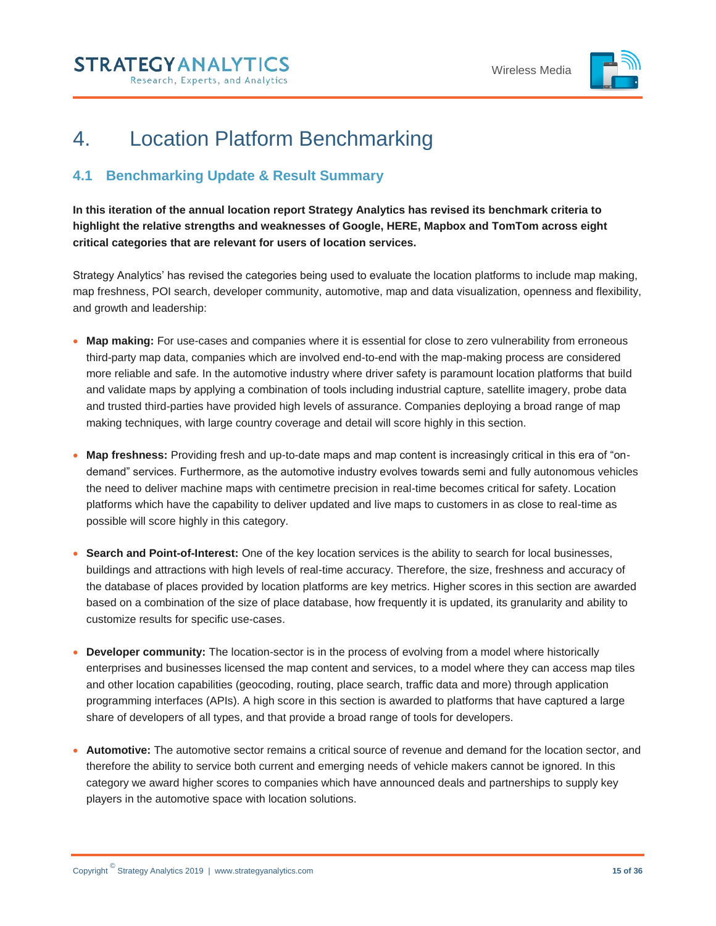

# <span id="page-14-0"></span>4. Location Platform Benchmarking

# <span id="page-14-1"></span>**4.1 Benchmarking Update & Result Summary**

**In this iteration of the annual location report Strategy Analytics has revised its benchmark criteria to highlight the relative strengths and weaknesses of Google, HERE, Mapbox and TomTom across eight critical categories that are relevant for users of location services.** 

Strategy Analytics' has revised the categories being used to evaluate the location platforms to include map making, map freshness, POI search, developer community, automotive, map and data visualization, openness and flexibility, and growth and leadership:

- **Map making:** For use-cases and companies where it is essential for close to zero vulnerability from erroneous third-party map data, companies which are involved end-to-end with the map-making process are considered more reliable and safe. In the automotive industry where driver safety is paramount location platforms that build and validate maps by applying a combination of tools including industrial capture, satellite imagery, probe data and trusted third-parties have provided high levels of assurance. Companies deploying a broad range of map making techniques, with large country coverage and detail will score highly in this section.
- **Map freshness:** Providing fresh and up-to-date maps and map content is increasingly critical in this era of "ondemand" services. Furthermore, as the automotive industry evolves towards semi and fully autonomous vehicles the need to deliver machine maps with centimetre precision in real-time becomes critical for safety. Location platforms which have the capability to deliver updated and live maps to customers in as close to real-time as possible will score highly in this category.
- **Search and Point-of-Interest:** One of the key location services is the ability to search for local businesses, buildings and attractions with high levels of real-time accuracy. Therefore, the size, freshness and accuracy of the database of places provided by location platforms are key metrics. Higher scores in this section are awarded based on a combination of the size of place database, how frequently it is updated, its granularity and ability to customize results for specific use-cases.
- **Developer community:** The location-sector is in the process of evolving from a model where historically enterprises and businesses licensed the map content and services, to a model where they can access map tiles and other location capabilities (geocoding, routing, place search, traffic data and more) through application programming interfaces (APIs). A high score in this section is awarded to platforms that have captured a large share of developers of all types, and that provide a broad range of tools for developers.
- **Automotive:** The automotive sector remains a critical source of revenue and demand for the location sector, and therefore the ability to service both current and emerging needs of vehicle makers cannot be ignored. In this category we award higher scores to companies which have announced deals and partnerships to supply key players in the automotive space with location solutions.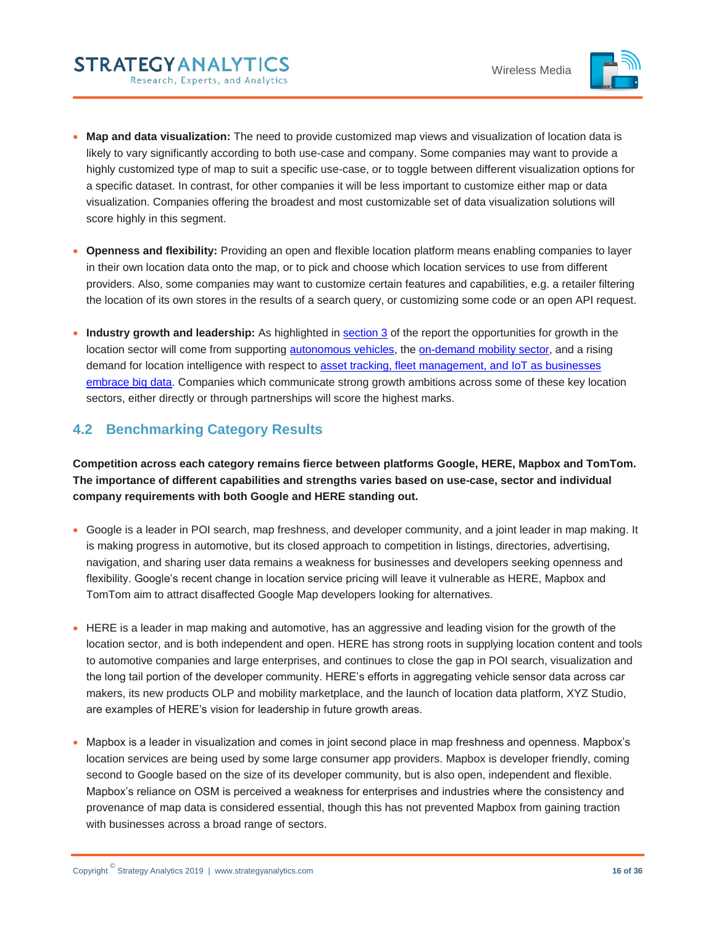

- **Map and data visualization:** The need to provide customized map views and visualization of location data is likely to vary significantly according to both use-case and company. Some companies may want to provide a highly customized type of map to suit a specific use-case, or to toggle between different visualization options for a specific dataset. In contrast, for other companies it will be less important to customize either map or data visualization. Companies offering the broadest and most customizable set of data visualization solutions will score highly in this segment.
- **Openness and flexibility:** Providing an open and flexible location platform means enabling companies to layer in their own location data onto the map, or to pick and choose which location services to use from different providers. Also, some companies may want to customize certain features and capabilities, e.g. a retailer filtering the location of its own stores in the results of a search query, or customizing some code or an open API request.
- **Industry growth and leadership:** As highlighted in [section 3](#page-6-0) of the report the opportunities for growth in the location sector will come from supporting [autonomous vehicles,](#page-6-1) the [on-demand mobility sector,](#page-11-1) and a rising demand for location intelligence with respect to [asset tracking, fleet management, and IoT as businesses](#page-8-0)  [embrace big data.](#page-8-0) Companies which communicate strong growth ambitions across some of these key location sectors, either directly or through partnerships will score the highest marks.

# <span id="page-15-0"></span>**4.2 Benchmarking Category Results**

**Competition across each category remains fierce between platforms Google, HERE, Mapbox and TomTom. The importance of different capabilities and strengths varies based on use-case, sector and individual company requirements with both Google and HERE standing out.**

- Google is a leader in POI search, map freshness, and developer community, and a joint leader in map making. It is making progress in automotive, but its closed approach to competition in listings, directories, advertising, navigation, and sharing user data remains a weakness for businesses and developers seeking openness and flexibility. Google's recent change in location service pricing will leave it vulnerable as HERE, Mapbox and TomTom aim to attract disaffected Google Map developers looking for alternatives.
- HERE is a leader in map making and automotive, has an aggressive and leading vision for the growth of the location sector, and is both independent and open. HERE has strong roots in supplying location content and tools to automotive companies and large enterprises, and continues to close the gap in POI search, visualization and the long tail portion of the developer community. HERE's efforts in aggregating vehicle sensor data across car makers, its new products OLP and mobility marketplace, and the launch of location data platform, XYZ Studio, are examples of HERE's vision for leadership in future growth areas.
- Mapbox is a leader in visualization and comes in joint second place in map freshness and openness. Mapbox's location services are being used by some large consumer app providers. Mapbox is developer friendly, coming second to Google based on the size of its developer community, but is also open, independent and flexible. Mapbox's reliance on OSM is perceived a weakness for enterprises and industries where the consistency and provenance of map data is considered essential, though this has not prevented Mapbox from gaining traction with businesses across a broad range of sectors.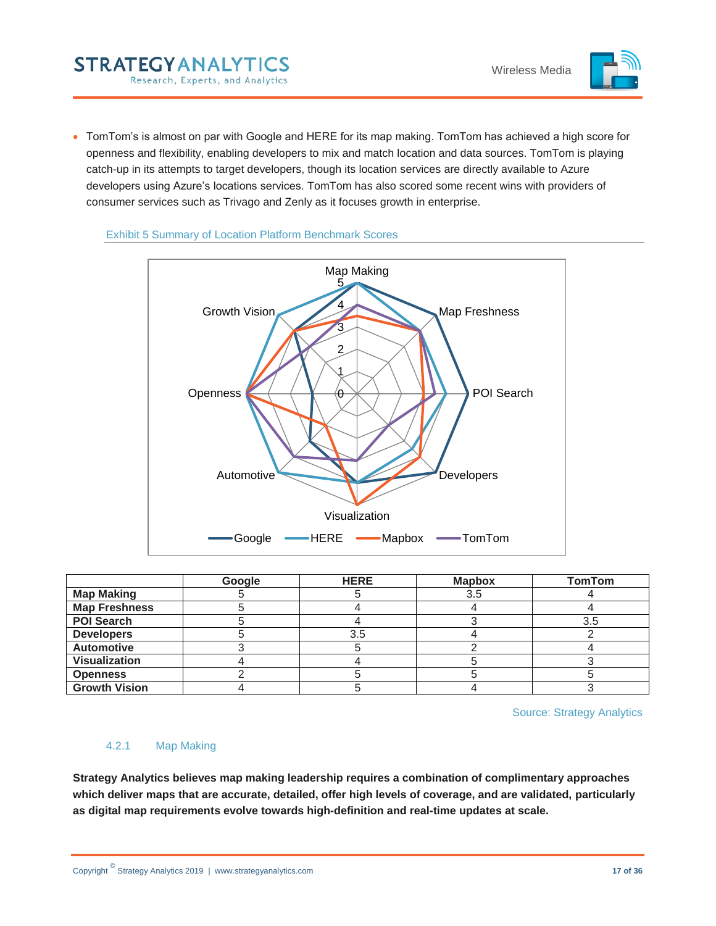

 TomTom's is almost on par with Google and HERE for its map making. TomTom has achieved a high score for openness and flexibility, enabling developers to mix and match location and data sources. TomTom is playing catch-up in its attempts to target developers, though its location services are directly available to Azure developers using Azure's locations services. TomTom has also scored some recent wins with providers of consumer services such as Trivago and Zenly as it focuses growth in enterprise.



#### <span id="page-16-1"></span>Exhibit 5 Summary of Location Platform Benchmark Scores

**STRATEGYANALYTICS** 

Research, Experts, and Analytics

|                      | Google | <b>HERE</b> | <b>Mapbox</b> | <b>TomTom</b> |
|----------------------|--------|-------------|---------------|---------------|
| <b>Map Making</b>    |        |             | 3.5           |               |
| <b>Map Freshness</b> |        |             |               |               |
| <b>POI Search</b>    |        |             |               | 3.5           |
| <b>Developers</b>    |        | 3.5         |               |               |
| <b>Automotive</b>    |        |             |               |               |
| <b>Visualization</b> |        |             |               |               |
| <b>Openness</b>      |        |             |               |               |
| <b>Growth Vision</b> |        |             |               |               |

Source: Strategy Analytics

## <span id="page-16-0"></span>4.2.1 Map Making

**Strategy Analytics believes map making leadership requires a combination of complimentary approaches which deliver maps that are accurate, detailed, offer high levels of coverage, and are validated, particularly as digital map requirements evolve towards high-definition and real-time updates at scale.**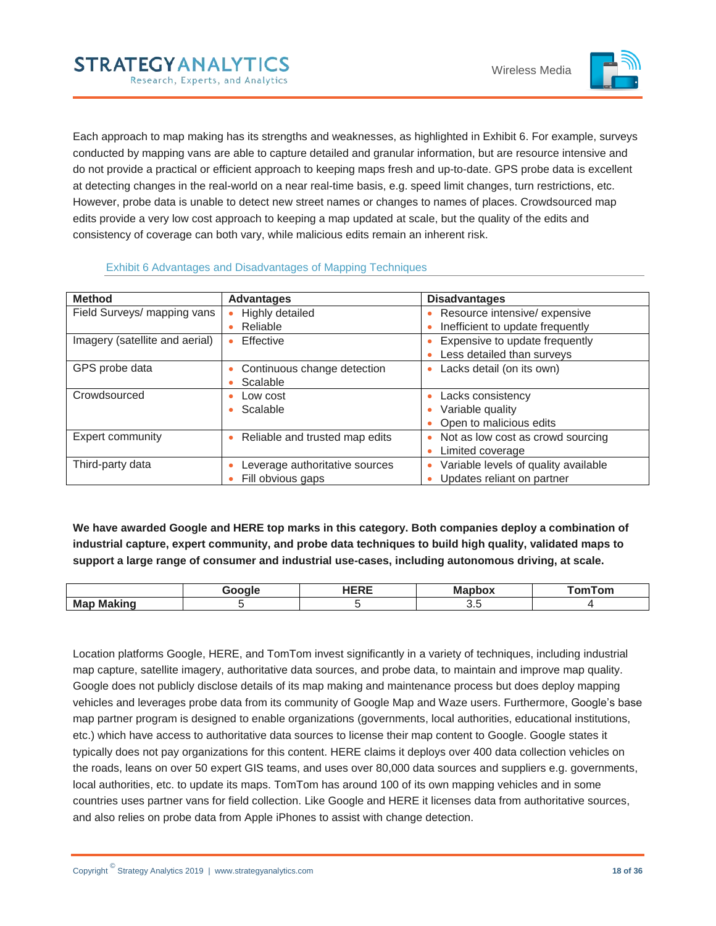

Each approach to map making has its strengths and weaknesses, as highlighted in Exhibit 6. For example, surveys conducted by mapping vans are able to capture detailed and granular information, but are resource intensive and do not provide a practical or efficient approach to keeping maps fresh and up-to-date. GPS probe data is excellent at detecting changes in the real-world on a near real-time basis, e.g. speed limit changes, turn restrictions, etc. However, probe data is unable to detect new street names or changes to names of places. Crowdsourced map edits provide a very low cost approach to keeping a map updated at scale, but the quality of the edits and consistency of coverage can both vary, while malicious edits remain an inherent risk.

<span id="page-17-0"></span>

| <b>Method</b>                  | <b>Advantages</b>                                   | <b>Disadvantages</b>                                                                 |
|--------------------------------|-----------------------------------------------------|--------------------------------------------------------------------------------------|
| Field Surveys/ mapping vans    | Highly detailed<br>Reliable                         | Resource intensive/ expensive<br>٠<br>Inefficient to update frequently<br>¢          |
| Imagery (satellite and aerial) | Effective                                           | Expensive to update frequently<br>٠<br>Less detailed than surveys                    |
| GPS probe data                 | Continuous change detection<br>Scalable             | Lacks detail (on its own)<br>٠                                                       |
| Crowdsourced                   | Low cost<br>Scalable                                | Lacks consistency<br>٠<br>Variable quality<br>٠<br>Open to malicious edits           |
| <b>Expert community</b>        | Reliable and trusted map edits                      | Not as low cost as crowd sourcing<br>$\bullet$<br>Limited coverage<br>٠              |
| Third-party data               | Leverage authoritative sources<br>Fill obvious gaps | Variable levels of quality available<br>$\bullet$<br>Updates reliant on partner<br>٠ |

#### Exhibit 6 Advantages and Disadvantages of Mapping Techniques

**STRATEGYANALYTICS** 

Research, Experts, and Analytics

**We have awarded Google and HERE top marks in this category. Both companies deploy a combination of industrial capture, expert community, and probe data techniques to build high quality, validated maps to support a large range of consumer and industrial use-cases, including autonomous driving, at scale.** 

|                        | urnr<br>−.<br>. | --<br>IVІ: | ™ິດ<br>$  -$ |
|------------------------|-----------------|------------|--------------|
| .<br>Ma<br>- -<br>---- |                 | -<br>ບ.ເ   |              |

Location platforms Google, HERE, and TomTom invest significantly in a variety of techniques, including industrial map capture, satellite imagery, authoritative data sources, and probe data, to maintain and improve map quality. Google does not publicly disclose details of its map making and maintenance process but does deploy mapping vehicles and leverages probe data from its community of Google Map and Waze users. Furthermore, Google's base map partner program is designed to enable organizations (governments, local authorities, educational institutions, etc.) which have access to authoritative data sources to license their map content to Google. Google states it typically does not pay organizations for this content. HERE claims it deploys over 400 data collection vehicles on the roads, leans on over 50 expert GIS teams, and uses over 80,000 data sources and suppliers e.g. governments, local authorities, etc. to update its maps. TomTom has around 100 of its own mapping vehicles and in some countries uses partner vans for field collection. Like Google and HERE it licenses data from authoritative sources, and also relies on probe data from Apple iPhones to assist with change detection.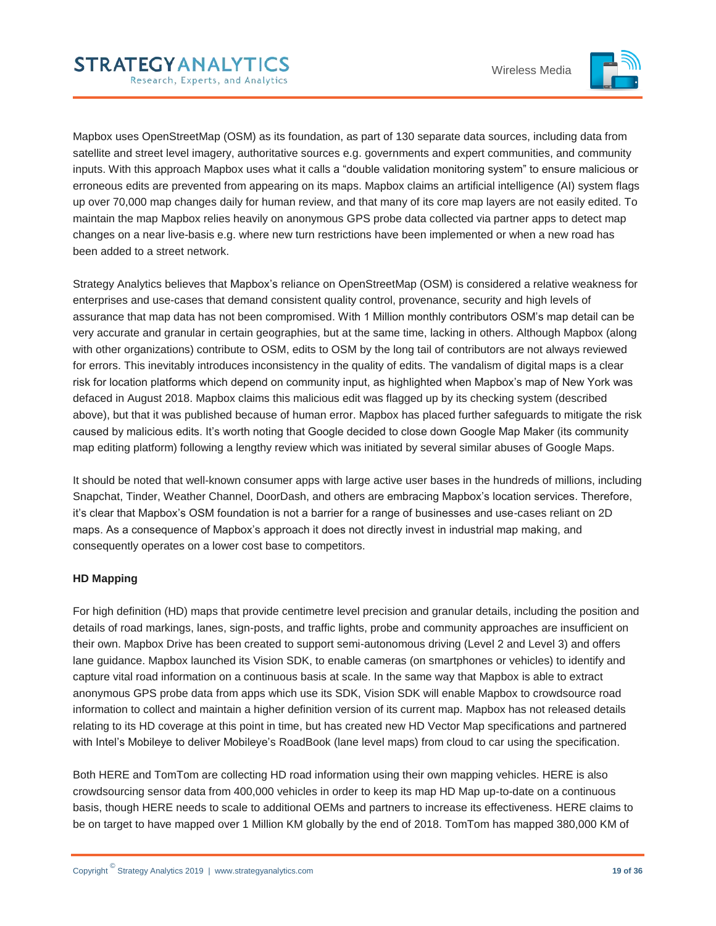

Mapbox uses OpenStreetMap (OSM) as its foundation, as part of 130 separate data sources, including data from satellite and street level imagery, authoritative sources e.g. governments and expert communities, and community inputs. With this approach Mapbox uses what it calls a "double validation monitoring system" to ensure malicious or erroneous edits are prevented from appearing on its maps. Mapbox claims an artificial intelligence (AI) system flags up over 70,000 map changes daily for human review, and that many of its core map layers are not easily edited. To maintain the map Mapbox relies heavily on anonymous GPS probe data collected via partner apps to detect map changes on a near live-basis e.g. where new turn restrictions have been implemented or when a new road has been added to a street network.

Strategy Analytics believes that Mapbox's reliance on OpenStreetMap (OSM) is considered a relative weakness for enterprises and use-cases that demand consistent quality control, provenance, security and high levels of assurance that map data has not been compromised. With 1 Million monthly contributors OSM's map detail can be very accurate and granular in certain geographies, but at the same time, lacking in others. Although Mapbox (along with other organizations) contribute to OSM, edits to OSM by the long tail of contributors are not always reviewed for errors. This inevitably introduces inconsistency in the quality of edits. The vandalism of digital maps is a clear risk for location platforms which depend on community input, as highlighted when Mapbox's map of New York was defaced in August 2018. Mapbox claims this malicious edit was flagged up by its checking system (described above), but that it was published because of human error. Mapbox has placed further safeguards to mitigate the risk caused by malicious edits. It's worth noting that Google decided to close down Google Map Maker (its community map editing platform) following a lengthy review which was initiated by several similar abuses of Google Maps.

It should be noted that well-known consumer apps with large active user bases in the hundreds of millions, including Snapchat, Tinder, Weather Channel, DoorDash, and others are embracing Mapbox's location services. Therefore, it's clear that Mapbox's OSM foundation is not a barrier for a range of businesses and use-cases reliant on 2D maps. As a consequence of Mapbox's approach it does not directly invest in industrial map making, and consequently operates on a lower cost base to competitors.

#### **HD Mapping**

For high definition (HD) maps that provide centimetre level precision and granular details, including the position and details of road markings, lanes, sign-posts, and traffic lights, probe and community approaches are insufficient on their own. Mapbox Drive has been created to support semi-autonomous driving (Level 2 and Level 3) and offers lane guidance. Mapbox launched its Vision SDK, to enable cameras (on smartphones or vehicles) to identify and capture vital road information on a continuous basis at scale. In the same way that Mapbox is able to extract anonymous GPS probe data from apps which use its SDK, Vision SDK will enable Mapbox to crowdsource road information to collect and maintain a higher definition version of its current map. Mapbox has not released details relating to its HD coverage at this point in time, but has created new HD Vector Map specifications and partnered with Intel's Mobileye to deliver Mobileye's RoadBook (lane level maps) from cloud to car using the specification.

Both HERE and TomTom are collecting HD road information using their own mapping vehicles. HERE is also crowdsourcing sensor data from 400,000 vehicles in order to keep its map HD Map up-to-date on a continuous basis, though HERE needs to scale to additional OEMs and partners to increase its effectiveness. HERE claims to be on target to have mapped over 1 Million KM globally by the end of 2018. TomTom has mapped 380,000 KM of

**STRATEGYANALYTICS** 

Research, Experts, and Analytics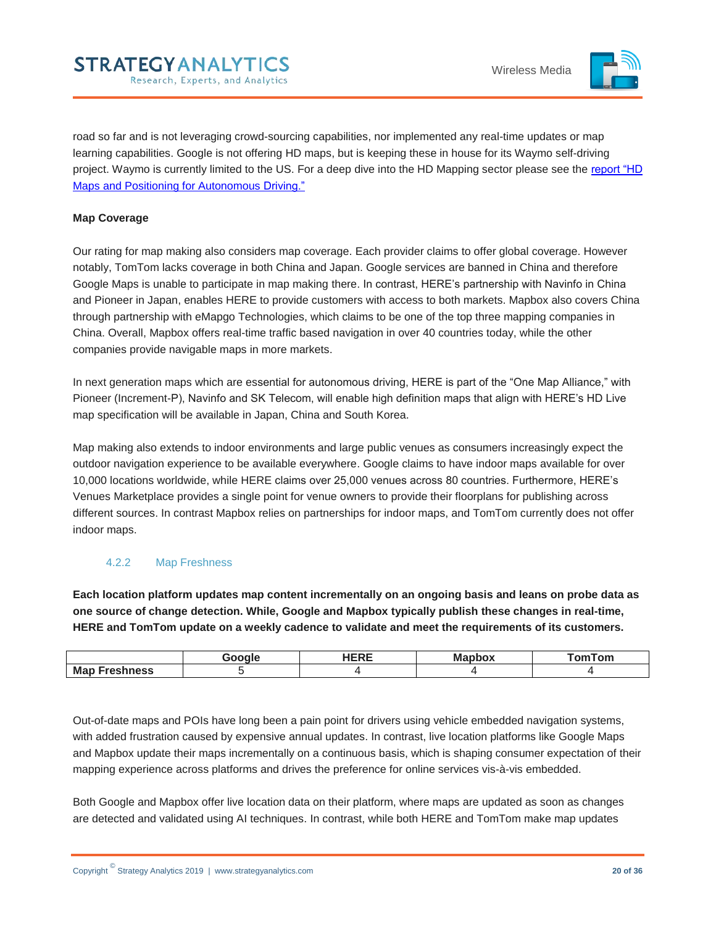

road so far and is not leveraging crowd-sourcing capabilities, nor implemented any real-time updates or map learning capabilities. Google is not offering HD maps, but is keeping these in house for its Waymo self-driving project. Waymo is currently limited to the US. For a deep dive into the HD Mapping sector please see the [report "HD](https://www.strategyanalytics.com/access-services/automotive/autonomous-vehicles/reports/report-detail/hd-maps-2018?slid=729298&spg=1)  [Maps and Positioning for Autonomous Driving."](https://www.strategyanalytics.com/access-services/automotive/autonomous-vehicles/reports/report-detail/hd-maps-2018?slid=729298&spg=1) 

#### **Map Coverage**

Our rating for map making also considers map coverage. Each provider claims to offer global coverage. However notably, TomTom lacks coverage in both China and Japan. Google services are banned in China and therefore Google Maps is unable to participate in map making there. In contrast, HERE's partnership with Navinfo in China and Pioneer in Japan, enables HERE to provide customers with access to both markets. Mapbox also covers China through partnership with eMapgo Technologies, which claims to be one of the top three mapping companies in China. Overall, Mapbox offers real-time traffic based navigation in over 40 countries today, while the other companies provide navigable maps in more markets.

In next generation maps which are essential for autonomous driving, HERE is part of the "One Map Alliance," with Pioneer (Increment-P), Navinfo and SK Telecom, will enable high definition maps that align with HERE's HD Live map specification will be available in Japan, China and South Korea.

Map making also extends to indoor environments and large public venues as consumers increasingly expect the outdoor navigation experience to be available everywhere. Google claims to have indoor maps available for over 10,000 locations worldwide, while HERE claims over 25,000 venues across 80 countries. Furthermore, HERE's Venues Marketplace provides a single point for venue owners to provide their floorplans for publishing across different sources. In contrast Mapbox relies on partnerships for indoor maps, and TomTom currently does not offer indoor maps.

#### <span id="page-19-0"></span>4.2.2 Map Freshness

**Each location platform updates map content incrementally on an ongoing basis and leans on probe data as one source of change detection. While, Google and Mapbox typically publish these changes in real-time, HERE and TomTom update on a weekly cadence to validate and meet the requirements of its customers.** 

|                  | Google | 1000<br>`` | M:<br>ono. | omTom <sup>-</sup> |
|------------------|--------|------------|------------|--------------------|
| Map<br>Freshness |        |            |            |                    |

Out-of-date maps and POIs have long been a pain point for drivers using vehicle embedded navigation systems, with added frustration caused by expensive annual updates. In contrast, live location platforms like Google Maps and Mapbox update their maps incrementally on a continuous basis, which is shaping consumer expectation of their mapping experience across platforms and drives the preference for online services vis-à-vis embedded.

Both Google and Mapbox offer live location data on their platform, where maps are updated as soon as changes are detected and validated using AI techniques. In contrast, while both HERE and TomTom make map updates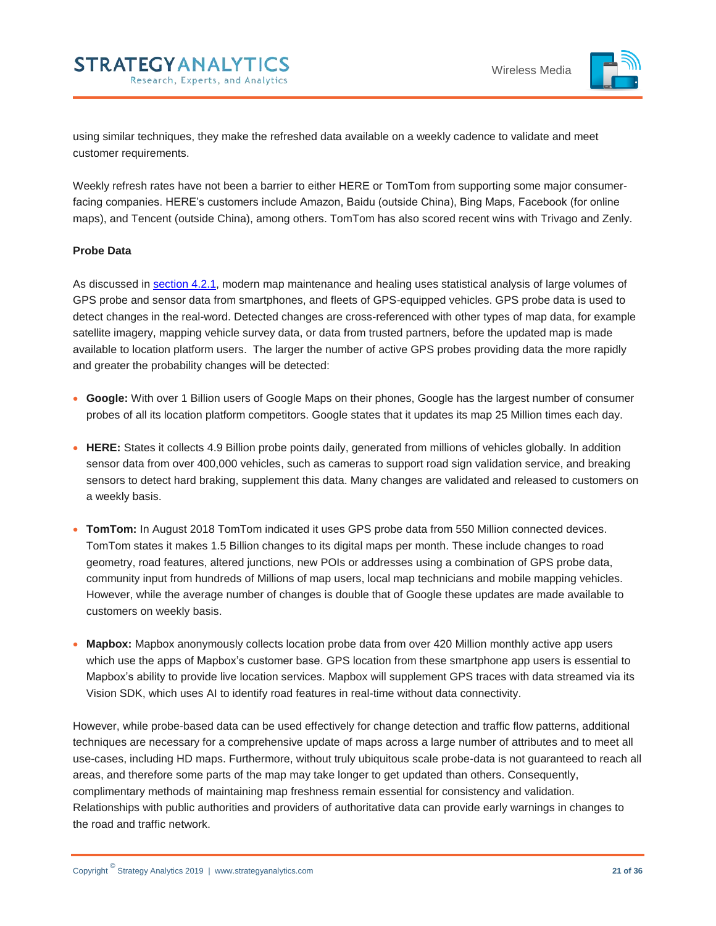

using similar techniques, they make the refreshed data available on a weekly cadence to validate and meet customer requirements.

Weekly refresh rates have not been a barrier to either HERE or TomTom from supporting some major consumerfacing companies. HERE's customers include Amazon, Baidu (outside China), Bing Maps, Facebook (for online maps), and Tencent (outside China), among others. TomTom has also scored recent wins with Trivago and Zenly.

#### **Probe Data**

As discussed in [section 4.2.1,](#page-16-0) modern map maintenance and healing uses statistical analysis of large volumes of GPS probe and sensor data from smartphones, and fleets of GPS-equipped vehicles. GPS probe data is used to detect changes in the real-word. Detected changes are cross-referenced with other types of map data, for example satellite imagery, mapping vehicle survey data, or data from trusted partners, before the updated map is made available to location platform users. The larger the number of active GPS probes providing data the more rapidly and greater the probability changes will be detected:

- **Google:** With over 1 Billion users of Google Maps on their phones, Google has the largest number of consumer probes of all its location platform competitors. Google states that it updates its map 25 Million times each day.
- **HERE:** States it collects 4.9 Billion probe points daily, generated from millions of vehicles globally. In addition sensor data from over 400,000 vehicles, such as cameras to support road sign validation service, and breaking sensors to detect hard braking, supplement this data. Many changes are validated and released to customers on a weekly basis.
- **TomTom:** In August 2018 TomTom indicated it uses GPS probe data from 550 Million connected devices. TomTom states it makes 1.5 Billion changes to its digital maps per month. These include changes to road geometry, road features, altered junctions, new POIs or addresses using a combination of GPS probe data, community input from hundreds of Millions of map users, local map technicians and mobile mapping vehicles. However, while the average number of changes is double that of Google these updates are made available to customers on weekly basis.
- **Mapbox:** Mapbox anonymously collects location probe data from over 420 Million monthly active app users which use the apps of Mapbox's customer base. GPS location from these smartphone app users is essential to Mapbox's ability to provide live location services. Mapbox will supplement GPS traces with data streamed via its Vision SDK, which uses AI to identify road features in real-time without data connectivity.

However, while probe-based data can be used effectively for change detection and traffic flow patterns, additional techniques are necessary for a comprehensive update of maps across a large number of attributes and to meet all use-cases, including HD maps. Furthermore, without truly ubiquitous scale probe-data is not guaranteed to reach all areas, and therefore some parts of the map may take longer to get updated than others. Consequently, complimentary methods of maintaining map freshness remain essential for consistency and validation. Relationships with public authorities and providers of authoritative data can provide early warnings in changes to the road and traffic network.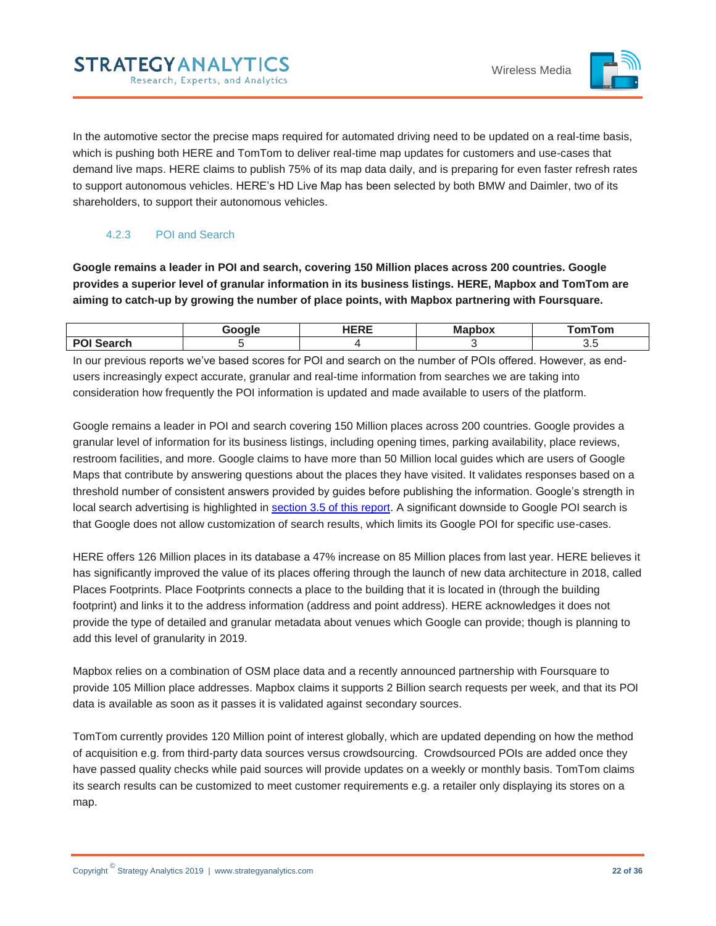

In the automotive sector the precise maps required for automated driving need to be updated on a real-time basis, which is pushing both HERE and TomTom to deliver real-time map updates for customers and use-cases that demand live maps. HERE claims to publish 75% of its map data daily, and is preparing for even faster refresh rates to support autonomous vehicles. HERE's HD Live Map has been selected by both BMW and Daimler, two of its shareholders, to support their autonomous vehicles.

## 4.2.3 POI and Search

**STRATEGYANALYTICS** 

Research, Experts, and Analytics

<span id="page-21-0"></span>**Google remains a leader in POI and search, covering 150 Million places across 200 countries. Google provides a superior level of granular information in its business listings. HERE, Mapbox and TomTom are aiming to catch-up by growing the number of place points, with Mapbox partnering with Foursquare.** 

|                         | Google | <b>IFDF</b><br>---- | --<br><u>____</u><br><b>Mappox</b> | TomTom |
|-------------------------|--------|---------------------|------------------------------------|--------|
| <b>PO</b><br>.<br>earch |        |                     |                                    | U.U    |

In our previous reports we've based scores for POI and search on the number of POIs offered. However, as endusers increasingly expect accurate, granular and real-time information from searches we are taking into consideration how frequently the POI information is updated and made available to users of the platform.

Google remains a leader in POI and search covering 150 Million places across 200 countries. Google provides a granular level of information for its business listings, including opening times, parking availability, place reviews, restroom facilities, and more. Google claims to have more than 50 Million local guides which are users of Google Maps that contribute by answering questions about the places they have visited. It validates responses based on a threshold number of consistent answers provided by guides before publishing the information. Google's strength in local search advertising is highlighted in [section 3.5 of this report.](#page-13-0) A significant downside to Google POI search is that Google does not allow customization of search results, which limits its Google POI for specific use-cases.

HERE offers 126 Million places in its database a 47% increase on 85 Million places from last year. HERE believes it has significantly improved the value of its places offering through the launch of new data architecture in 2018, called Places Footprints. Place Footprints connects a place to the building that it is located in (through the building footprint) and links it to the address information (address and point address). HERE acknowledges it does not provide the type of detailed and granular metadata about venues which Google can provide; though is planning to add this level of granularity in 2019.

Mapbox relies on a combination of OSM place data and a recently announced partnership with Foursquare to provide 105 Million place addresses. Mapbox claims it supports 2 Billion search requests per week, and that its POI data is available as soon as it passes it is validated against secondary sources.

TomTom currently provides 120 Million point of interest globally, which are updated depending on how the method of acquisition e.g. from third-party data sources versus crowdsourcing. Crowdsourced POIs are added once they have passed quality checks while paid sources will provide updates on a weekly or monthly basis. TomTom claims its search results can be customized to meet customer requirements e.g. a retailer only displaying its stores on a map.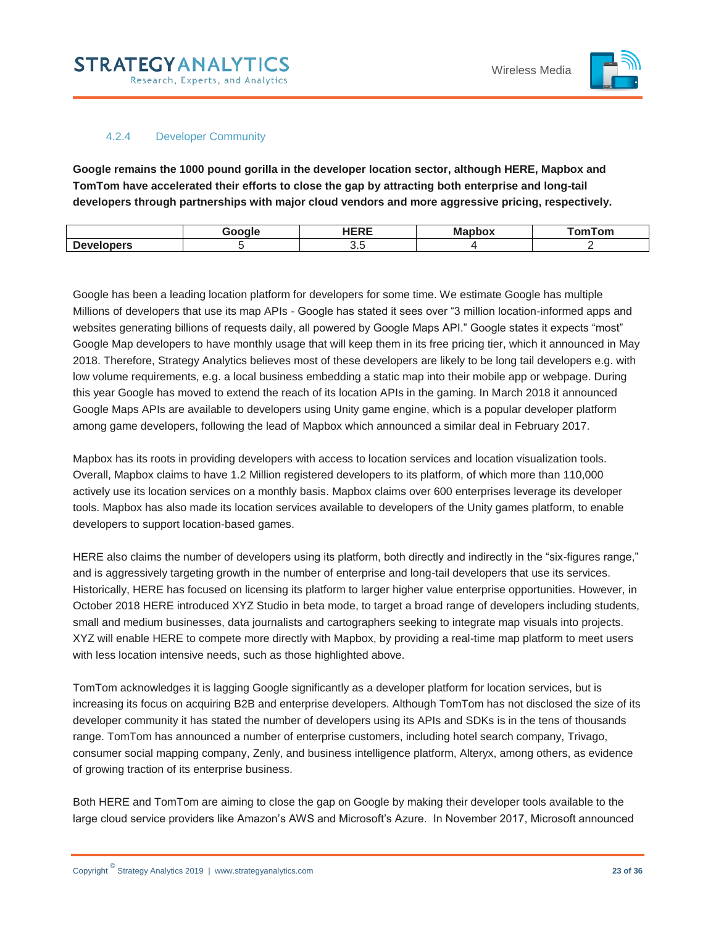

#### 4.2.4 Developer Community

<span id="page-22-0"></span>**Google remains the 1000 pound gorilla in the developer location sector, although HERE, Mapbox and TomTom have accelerated their efforts to close the gap by attracting both enterprise and long-tail developers through partnerships with major cloud vendors and more aggressive pricing, respectively.** 

|                                     | 300 | $- - - -$<br>⋯ | M <sub>2</sub><br>unno.<br><br>vn | omTom <sup>-</sup> |
|-------------------------------------|-----|----------------|-----------------------------------|--------------------|
| <b>DAIR</b><br>$-$<br>υe<br>. 191 J |     | ◡.◡            |                                   |                    |

Google has been a leading location platform for developers for some time. We estimate Google has multiple Millions of developers that use its map APIs - Google has stated it sees over "3 million location-informed apps and websites generating billions of requests daily, all powered by Google Maps API." Google states it expects "most" Google Map developers to have monthly usage that will keep them in its free pricing tier, which it announced in May 2018. Therefore, Strategy Analytics believes most of these developers are likely to be long tail developers e.g. with low volume requirements, e.g. a local business embedding a static map into their mobile app or webpage. During this year Google has moved to extend the reach of its location APIs in the gaming. In March 2018 it announced Google Maps APIs are available to developers using Unity game engine, which is a popular developer platform among game developers, following the lead of Mapbox which announced a similar deal in February 2017.

Mapbox has its roots in providing developers with access to location services and location visualization tools. Overall, Mapbox claims to have 1.2 Million registered developers to its platform, of which more than 110,000 actively use its location services on a monthly basis. Mapbox claims over 600 enterprises leverage its developer tools. Mapbox has also made its location services available to developers of the Unity games platform, to enable developers to support location-based games.

HERE also claims the number of developers using its platform, both directly and indirectly in the "six-figures range," and is aggressively targeting growth in the number of enterprise and long-tail developers that use its services. Historically, HERE has focused on licensing its platform to larger higher value enterprise opportunities. However, in October 2018 HERE introduced XYZ Studio in beta mode, to target a broad range of developers including students, small and medium businesses, data journalists and cartographers seeking to integrate map visuals into projects. XYZ will enable HERE to compete more directly with Mapbox, by providing a real-time map platform to meet users with less location intensive needs, such as those highlighted above.

TomTom acknowledges it is lagging Google significantly as a developer platform for location services, but is increasing its focus on acquiring B2B and enterprise developers. Although TomTom has not disclosed the size of its developer community it has stated the number of developers using its APIs and SDKs is in the tens of thousands range. TomTom has announced a number of enterprise customers, including hotel search company, Trivago, consumer social mapping company, Zenly, and business intelligence platform, Alteryx, among others, as evidence of growing traction of its enterprise business.

Both HERE and TomTom are aiming to close the gap on Google by making their developer tools available to the large cloud service providers like Amazon's AWS and Microsoft's Azure. In November 2017, Microsoft announced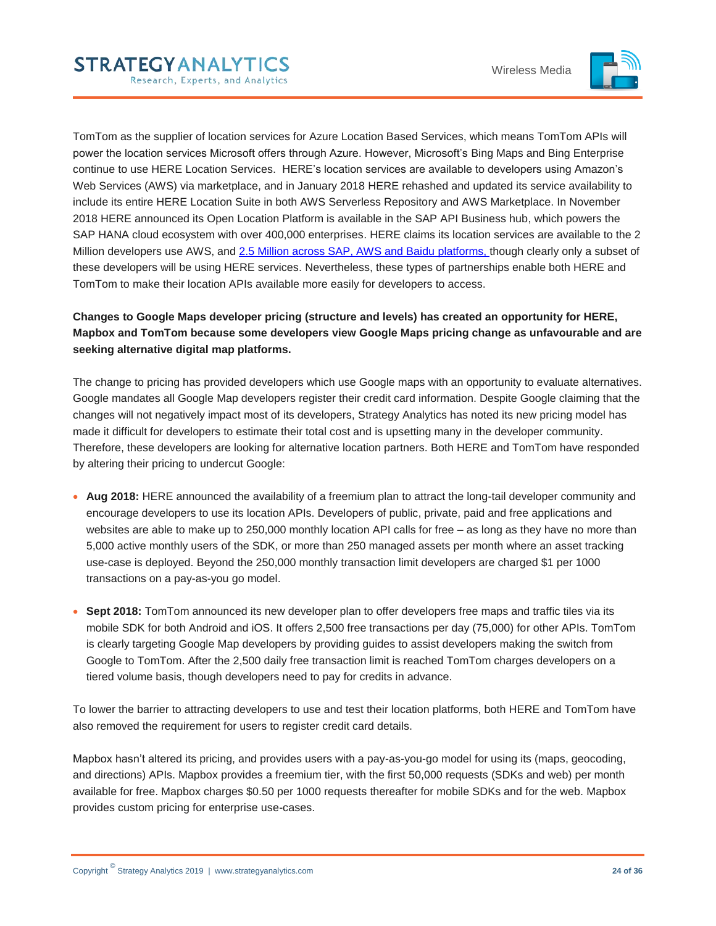

TomTom as the supplier of location services for Azure Location Based Services, which means TomTom APIs will power the location services Microsoft offers through Azure. However, Microsoft's Bing Maps and Bing Enterprise continue to use HERE Location Services. HERE's location services are available to developers using Amazon's Web Services (AWS) via marketplace, and in January 2018 HERE rehashed and updated its service availability to include its entire HERE Location Suite in both AWS Serverless Repository and AWS Marketplace. In November 2018 HERE announced its Open Location Platform is available in the SAP API Business hub, which powers the SAP HANA cloud ecosystem with over 400,000 enterprises. HERE claims its location services are available to the 2 Million developers use AWS, and [2.5 Million across SAP, AWS and Baidu](https://360.here.com/here-enables-over-two-million-developers-to-leverage-location-intel) platforms, though clearly only a subset of these developers will be using HERE services. Nevertheless, these types of partnerships enable both HERE and TomTom to make their location APIs available more easily for developers to access.

## **Changes to Google Maps developer pricing (structure and levels) has created an opportunity for HERE, Mapbox and TomTom because some developers view Google Maps pricing change as unfavourable and are seeking alternative digital map platforms.**

The change to pricing has provided developers which use Google maps with an opportunity to evaluate alternatives. Google mandates all Google Map developers register their credit card information. Despite Google claiming that the changes will not negatively impact most of its developers, Strategy Analytics has noted its new pricing model has made it difficult for developers to estimate their total cost and is upsetting many in the developer community. Therefore, these developers are looking for alternative location partners. Both HERE and TomTom have responded by altering their pricing to undercut Google:

- **Aug 2018:** HERE announced the availability of a freemium plan to attract the long-tail developer community and encourage developers to use its location APIs. Developers of public, private, paid and free applications and websites are able to make up to 250,000 monthly location API calls for free – as long as they have no more than 5,000 active monthly users of the SDK, or more than 250 managed assets per month where an asset tracking use-case is deployed. Beyond the 250,000 monthly transaction limit developers are charged \$1 per 1000 transactions on a pay-as-you go model.
- **Sept 2018:** TomTom announced its new developer plan to offer developers free maps and traffic tiles via its mobile SDK for both Android and iOS. It offers 2,500 free transactions per day (75,000) for other APIs. TomTom is clearly targeting Google Map developers by providing guides to assist developers making the switch from Google to TomTom. After the 2,500 daily free transaction limit is reached TomTom charges developers on a tiered volume basis, though developers need to pay for credits in advance.

To lower the barrier to attracting developers to use and test their location platforms, both HERE and TomTom have also removed the requirement for users to register credit card details.

Mapbox hasn't altered its pricing, and provides users with a pay-as-you-go model for using its (maps, geocoding, and directions) APIs. Mapbox provides a freemium tier, with the first 50,000 requests (SDKs and web) per month available for free. Mapbox charges \$0.50 per 1000 requests thereafter for mobile SDKs and for the web. Mapbox provides custom pricing for enterprise use-cases.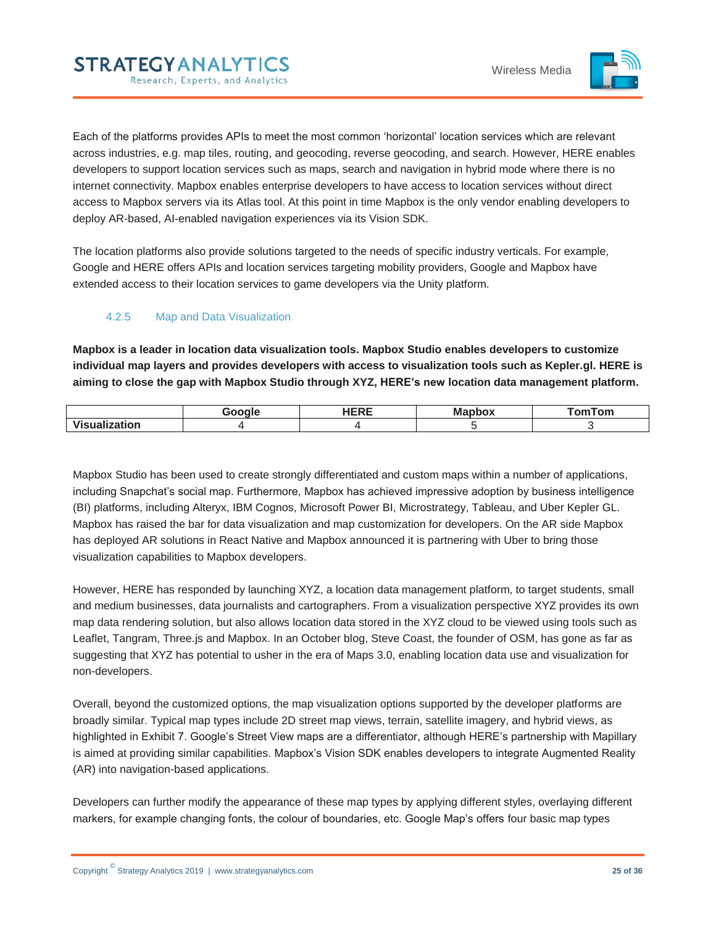

Each of the platforms provides APIs to meet the most common 'horizontal' location services which are relevant across industries, e.g. map tiles, routing, and geocoding, reverse geocoding, and search. However, HERE enables developers to support location services such as maps, search and navigation in hybrid mode where there is no internet connectivity. Mapbox enables enterprise developers to have access to location services without direct access to Mapbox servers via its Atlas tool. At this point in time Mapbox is the only vendor enabling developers to deploy AR-based, AI-enabled navigation experiences via its Vision SDK.

The location platforms also provide solutions targeted to the needs of specific industry verticals. For example, Google and HERE offers APIs and location services targeting mobility providers, Google and Mapbox have extended access to their location services to game developers via the Unity platform.

## <span id="page-24-0"></span>4.2.5 Map and Data Visualization

**Mapbox is a leader in location data visualization tools. Mapbox Studio enables developers to customize individual map layers and provides developers with access to visualization tools such as Kepler.gl. HERE is aiming to close the gap with Mapbox Studio through XYZ, HERE's new location data management platform.**

|                                | عاممت | <b>UEDE</b><br>℡ | --<br>apbox | omTom <sup>-</sup> |
|--------------------------------|-------|------------------|-------------|--------------------|
| $\cdots$<br>--<br>tion.<br>VIC |       |                  |             |                    |

Mapbox Studio has been used to create strongly differentiated and custom maps within a number of applications, including Snapchat's social map. Furthermore, Mapbox has achieved impressive adoption by business intelligence (BI) platforms, including Alteryx, IBM Cognos, Microsoft Power BI, Microstrategy, Tableau, and Uber Kepler GL. Mapbox has raised the bar for data visualization and map customization for developers. On the AR side Mapbox has deployed AR solutions in React Native and Mapbox announced it is partnering with Uber to bring those visualization capabilities to Mapbox developers.

However, HERE has responded by launching XYZ, a location data management platform, to target students, small and medium businesses, data journalists and cartographers. From a visualization perspective XYZ provides its own map data rendering solution, but also allows location data stored in the XYZ cloud to be viewed using tools such as Leaflet, Tangram, Three.js and Mapbox. In an October blog, Steve Coast, the founder of OSM, has gone as far as suggesting that XYZ has potential to usher in the era of Maps 3.0, enabling location data use and visualization for non-developers.

Overall, beyond the customized options, the map visualization options supported by the developer platforms are broadly similar. Typical map types include 2D street map views, terrain, satellite imagery, and hybrid views, as highlighted in Exhibit 7. Google's Street View maps are a differentiator, although HERE's partnership with Mapillary is aimed at providing similar capabilities. Mapbox's Vision SDK enables developers to integrate Augmented Reality (AR) into navigation-based applications.

Developers can further modify the appearance of these map types by applying different styles, overlaying different markers, for example changing fonts, the colour of boundaries, etc. Google Map's offers four basic map types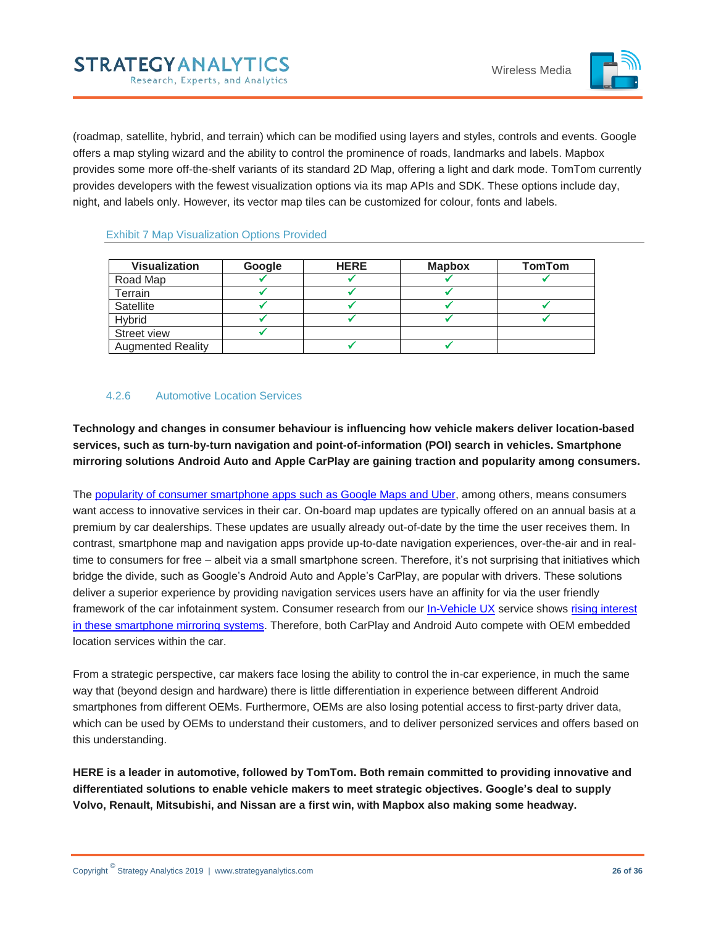

(roadmap, satellite, hybrid, and terrain) which can be modified using layers and styles, controls and events. Google offers a map styling wizard and the ability to control the prominence of roads, landmarks and labels. Mapbox provides some more off-the-shelf variants of its standard 2D Map, offering a light and dark mode. TomTom currently provides developers with the fewest visualization options via its map APIs and SDK. These options include day, night, and labels only. However, its vector map tiles can be customized for colour, fonts and labels.

#### <span id="page-25-1"></span>Exhibit 7 Map Visualization Options Provided

| <b>Visualization</b>     | <b>Google</b> | <b>HERE</b> | <b>Mapbox</b> | <b>TomTom</b> |
|--------------------------|---------------|-------------|---------------|---------------|
| Road Map                 |               |             |               |               |
| Terrain                  |               |             |               |               |
| Satellite                |               |             |               |               |
| Hybrid                   |               |             |               |               |
| Street view              |               |             |               |               |
| <b>Augmented Reality</b> |               |             |               |               |

#### <span id="page-25-0"></span>4.2.6 Automotive Location Services

**Technology and changes in consumer behaviour is influencing how vehicle makers deliver location-based services, such as turn-by-turn navigation and point-of-information (POI) search in vehicles. Smartphone mirroring solutions Android Auto and Apple CarPlay are gaining traction and popularity among consumers.** 

The [popularity of consumer smartphone apps such as Google Maps and Uber,](https://www.strategyanalytics.com/access-services/media-and-services/mobile/apps/app-use/about-app-use) among others, means consumers want access to innovative services in their car. On-board map updates are typically offered on an annual basis at a premium by car dealerships. These updates are usually already out-of-date by the time the user receives them. In contrast, smartphone map and navigation apps provide up-to-date navigation experiences, over-the-air and in realtime to consumers for free – albeit via a small smartphone screen. Therefore, it's not surprising that initiatives which bridge the divide, such as Google's Android Auto and Apple's CarPlay, are popular with drivers. These solutions deliver a superior experience by providing navigation services users have an affinity for via the user friendly framework of the car infotainment system. Consumer research from our [In-Vehicle UX](https://www.strategyanalytics.com/access-services/automotive/in-vehicle-ux/about-in-vehicle-ux) service shows [rising interest](https://www.strategyanalytics.com/access-services/automotive/in-vehicle-ux/reports/report-detail/consumer-appetite-for-apple-carplay-as-a-must-have-feature-increases-more-than-android-auto)  [in these smartphone mirroring systems.](https://www.strategyanalytics.com/access-services/automotive/in-vehicle-ux/reports/report-detail/consumer-appetite-for-apple-carplay-as-a-must-have-feature-increases-more-than-android-auto) Therefore, both CarPlay and Android Auto compete with OEM embedded location services within the car.

From a strategic perspective, car makers face losing the ability to control the in-car experience, in much the same way that (beyond design and hardware) there is little differentiation in experience between different Android smartphones from different OEMs. Furthermore, OEMs are also losing potential access to first-party driver data, which can be used by OEMs to understand their customers, and to deliver personized services and offers based on this understanding.

**HERE is a leader in automotive, followed by TomTom. Both remain committed to providing innovative and differentiated solutions to enable vehicle makers to meet strategic objectives. Google's deal to supply Volvo, Renault, Mitsubishi, and Nissan are a first win, with Mapbox also making some headway.**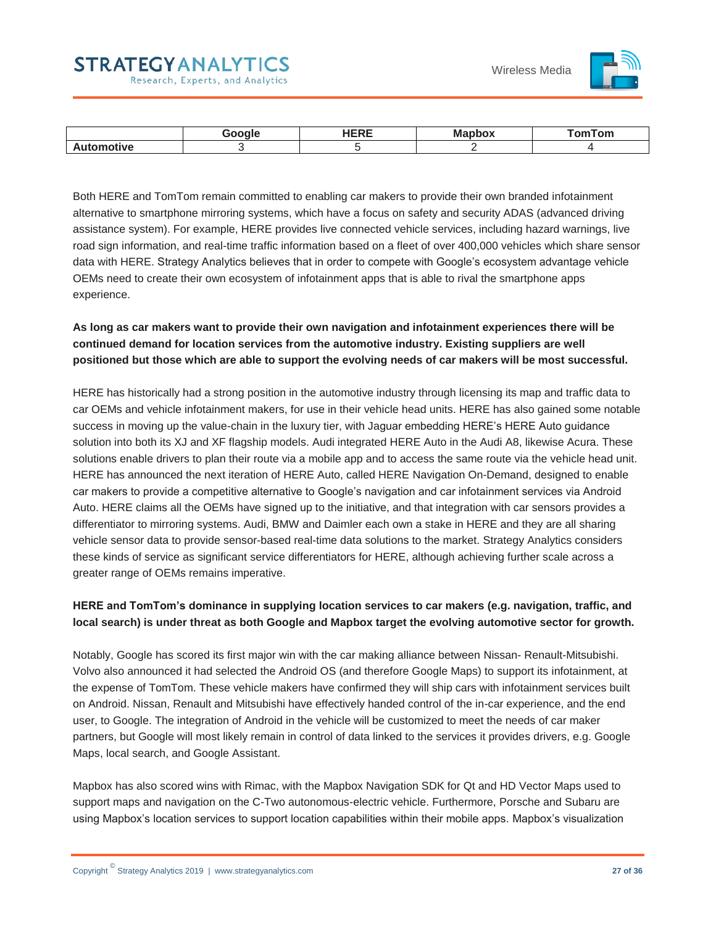#### Wireless Media



|         | $\sim$ $\sim$ $\sim$ | в. е<br>MI: | an sair '<br>om |
|---------|----------------------|-------------|-----------------|
| .<br>VC |                      |             |                 |

Both HERE and TomTom remain committed to enabling car makers to provide their own branded infotainment alternative to smartphone mirroring systems, which have a focus on safety and security ADAS (advanced driving assistance system). For example, HERE provides live connected vehicle services, including hazard warnings, live road sign information, and real-time traffic information based on a fleet of over 400,000 vehicles which share sensor data with HERE. Strategy Analytics believes that in order to compete with Google's ecosystem advantage vehicle OEMs need to create their own ecosystem of infotainment apps that is able to rival the smartphone apps experience.

## **As long as car makers want to provide their own navigation and infotainment experiences there will be continued demand for location services from the automotive industry. Existing suppliers are well positioned but those which are able to support the evolving needs of car makers will be most successful.**

HERE has historically had a strong position in the automotive industry through licensing its map and traffic data to car OEMs and vehicle infotainment makers, for use in their vehicle head units. HERE has also gained some notable success in moving up the value-chain in the luxury tier, with Jaguar embedding HERE's HERE Auto guidance solution into both its XJ and XF flagship models. Audi integrated HERE Auto in the Audi A8, likewise Acura. These solutions enable drivers to plan their route via a mobile app and to access the same route via the vehicle head unit. HERE has announced the next iteration of HERE Auto, called HERE Navigation On-Demand, designed to enable car makers to provide a competitive alternative to Google's navigation and car infotainment services via Android Auto. HERE claims all the OEMs have signed up to the initiative, and that integration with car sensors provides a differentiator to mirroring systems. Audi, BMW and Daimler each own a stake in HERE and they are all sharing vehicle sensor data to provide sensor-based real-time data solutions to the market. Strategy Analytics considers these kinds of service as significant service differentiators for HERE, although achieving further scale across a greater range of OEMs remains imperative.

## **HERE and TomTom's dominance in supplying location services to car makers (e.g. navigation, traffic, and local search) is under threat as both Google and Mapbox target the evolving automotive sector for growth.**

Notably, Google has scored its first major win with the car making alliance between Nissan- Renault-Mitsubishi. Volvo also announced it had selected the Android OS (and therefore Google Maps) to support its infotainment, at the expense of TomTom. These vehicle makers have confirmed they will ship cars with infotainment services built on Android. Nissan, Renault and Mitsubishi have effectively handed control of the in-car experience, and the end user, to Google. The integration of Android in the vehicle will be customized to meet the needs of car maker partners, but Google will most likely remain in control of data linked to the services it provides drivers, e.g. Google Maps, local search, and Google Assistant.

Mapbox has also scored wins with Rimac, with the Mapbox Navigation SDK for Qt and HD Vector Maps used to support maps and navigation on the C-Two autonomous-electric vehicle. Furthermore, Porsche and Subaru are using Mapbox's location services to support location capabilities within their mobile apps. Mapbox's visualization

**STRATEGYANALYTICS** 

Research, Experts, and Analytics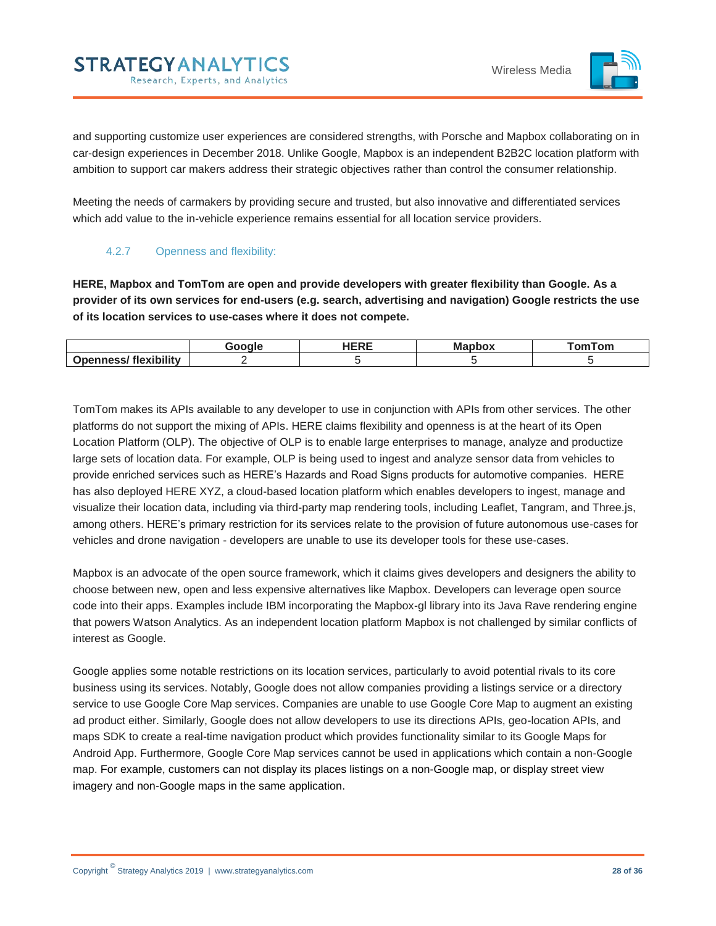

and supporting customize user experiences are considered strengths, with Porsche and Mapbox collaborating on in car-design experiences in December 2018. Unlike Google, Mapbox is an independent B2B2C location platform with ambition to support car makers address their strategic objectives rather than control the consumer relationship.

Meeting the needs of carmakers by providing secure and trusted, but also innovative and differentiated services which add value to the in-vehicle experience remains essential for all location service providers.

### <span id="page-27-0"></span>4.2.7 Openness and flexibility:

**STRATEGYANALYTICS** 

Research, Experts, and Analytics

**HERE, Mapbox and TomTom are open and provide developers with greater flexibility than Google. As a provider of its own services for end-users (e.g. search, advertising and navigation) Google restricts the use of its location services to use-cases where it does not compete.**

|                                | Google | <b>*****</b><br>. | <b>Mapbox</b> | <b>omTom</b> |
|--------------------------------|--------|-------------------|---------------|--------------|
| flexibility<br><b>Onenness</b> |        |                   |               |              |

TomTom makes its APIs available to any developer to use in conjunction with APIs from other services. The other platforms do not support the mixing of APIs. HERE claims flexibility and openness is at the heart of its Open Location Platform (OLP). The objective of OLP is to enable large enterprises to manage, analyze and productize large sets of location data. For example, OLP is being used to ingest and analyze sensor data from vehicles to provide enriched services such as HERE's Hazards and Road Signs products for automotive companies. HERE has also deployed HERE XYZ, a cloud-based location platform which enables developers to ingest, manage and visualize their location data, including via third-party map rendering tools, including Leaflet, Tangram, and Three.js, among others. HERE's primary restriction for its services relate to the provision of future autonomous use-cases for vehicles and drone navigation - developers are unable to use its developer tools for these use-cases.

Mapbox is an advocate of the open source framework, which it claims gives developers and designers the ability to choose between new, open and less expensive alternatives like Mapbox. Developers can leverage open source code into their apps. Examples include IBM incorporating the Mapbox-gl library into its Java Rave rendering engine that powers Watson Analytics. As an independent location platform Mapbox is not challenged by similar conflicts of interest as Google.

Google applies some notable restrictions on its location services, particularly to avoid potential rivals to its core business using its services. Notably, Google does not allow companies providing a listings service or a directory service to use Google Core Map services. Companies are unable to use Google Core Map to augment an existing ad product either. Similarly, Google does not allow developers to use its directions APIs, geo-location APIs, and maps SDK to create a real-time navigation product which provides functionality similar to its Google Maps for Android App. Furthermore, Google Core Map services cannot be used in applications which contain a non-Google map. For example, customers can not display its places listings on a non-Google map, or display street view imagery and non-Google maps in the same application.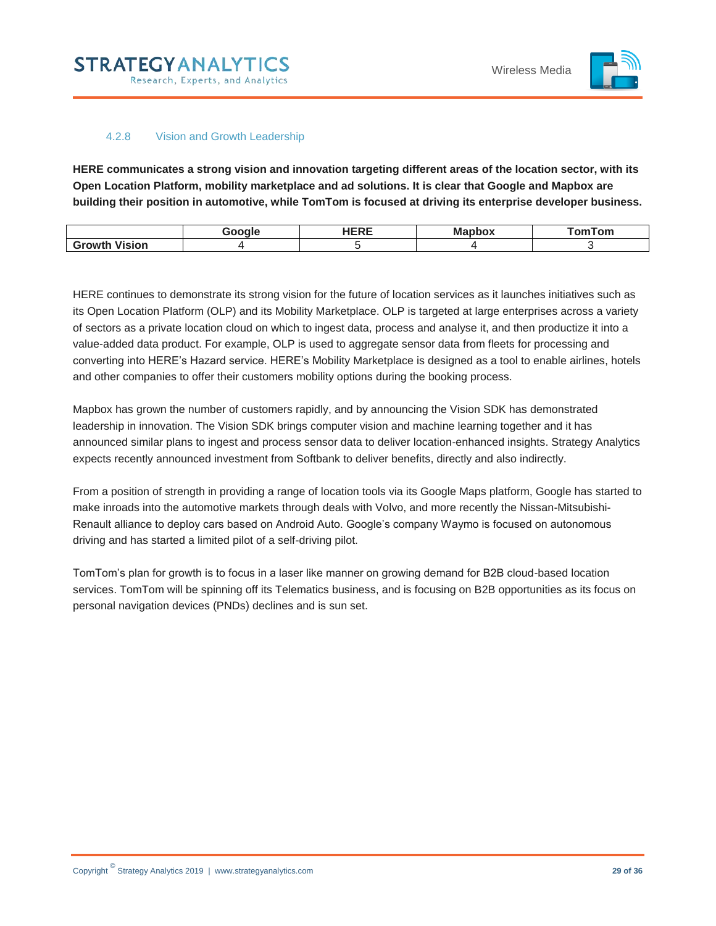

#### 4.2.8 Vision and Growth Leadership

<span id="page-28-0"></span>**HERE communicates a strong vision and innovation targeting different areas of the location sector, with its Open Location Platform, mobility marketplace and ad solutions. It is clear that Google and Mapbox are building their position in automotive, while TomTom is focused at driving its enterprise developer business.** 

|                         | Google | IPDE<br>. | <b>Mapbox</b> | omTom <sup>.</sup> |
|-------------------------|--------|-----------|---------------|--------------------|
| <b>Vision</b><br>Growth |        |           |               |                    |

HERE continues to demonstrate its strong vision for the future of location services as it launches initiatives such as its Open Location Platform (OLP) and its Mobility Marketplace. OLP is targeted at large enterprises across a variety of sectors as a private location cloud on which to ingest data, process and analyse it, and then productize it into a value-added data product. For example, OLP is used to aggregate sensor data from fleets for processing and converting into HERE's Hazard service. HERE's Mobility Marketplace is designed as a tool to enable airlines, hotels and other companies to offer their customers mobility options during the booking process.

Mapbox has grown the number of customers rapidly, and by announcing the Vision SDK has demonstrated leadership in innovation. The Vision SDK brings computer vision and machine learning together and it has announced similar plans to ingest and process sensor data to deliver location-enhanced insights. Strategy Analytics expects recently announced investment from Softbank to deliver benefits, directly and also indirectly.

From a position of strength in providing a range of location tools via its Google Maps platform, Google has started to make inroads into the automotive markets through deals with Volvo, and more recently the Nissan-Mitsubishi-Renault alliance to deploy cars based on Android Auto. Google's company Waymo is focused on autonomous driving and has started a limited pilot of a self-driving pilot.

TomTom's plan for growth is to focus in a laser like manner on growing demand for B2B cloud-based location services. TomTom will be spinning off its Telematics business, and is focusing on B2B opportunities as its focus on personal navigation devices (PNDs) declines and is sun set.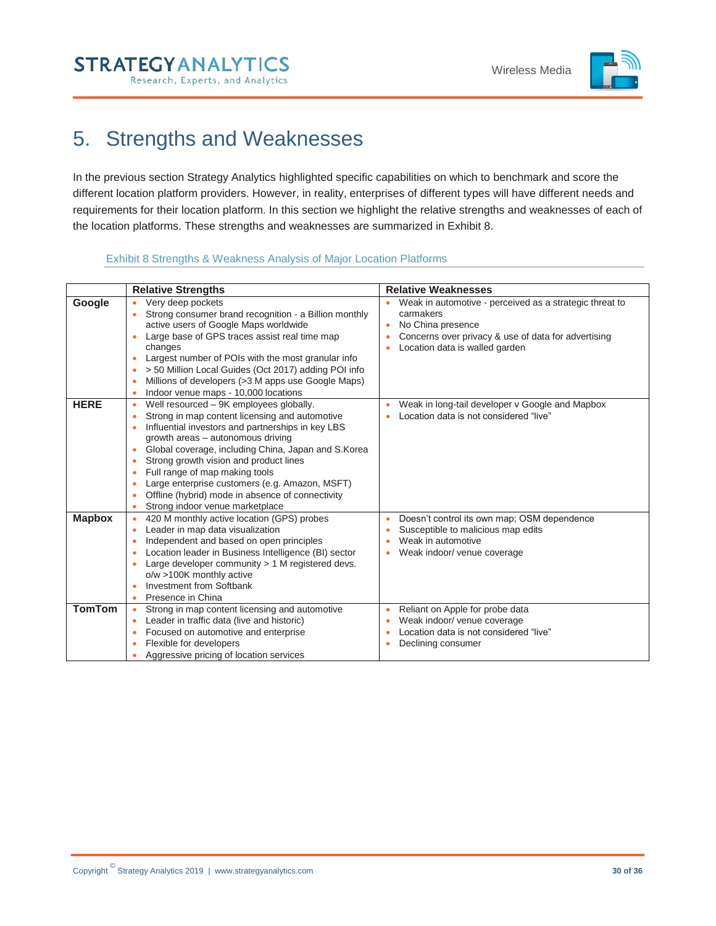

# <span id="page-29-0"></span>5. Strengths and Weaknesses

In the previous section Strategy Analytics highlighted specific capabilities on which to benchmark and score the different location platform providers. However, in reality, enterprises of different types will have different needs and requirements for their location platform. In this section we highlight the relative strengths and weaknesses of each of the location platforms. These strengths and weaknesses are summarized in Exhibit 8.

#### Exhibit 8 Strengths & Weakness Analysis of Major Location Platforms

<span id="page-29-1"></span>

|               | <b>Relative Strengths</b>                                                                                                                                                                                                                                                                                                                                                                                                                                                                                     | <b>Relative Weaknesses</b>                                                                                                                                                         |
|---------------|---------------------------------------------------------------------------------------------------------------------------------------------------------------------------------------------------------------------------------------------------------------------------------------------------------------------------------------------------------------------------------------------------------------------------------------------------------------------------------------------------------------|------------------------------------------------------------------------------------------------------------------------------------------------------------------------------------|
| Google        | Very deep pockets<br>Strong consumer brand recognition - a Billion monthly<br>active users of Google Maps worldwide<br>Large base of GPS traces assist real time map<br>changes<br>Largest number of POIs with the most granular info<br>٠<br>> 50 Million Local Guides (Oct 2017) adding POI info<br>٠<br>Millions of developers (>3 M apps use Google Maps)<br>Indoor venue maps - 10,000 locations<br>٠                                                                                                    | Weak in automotive - perceived as a strategic threat to<br>carmakers<br>No China presence<br>Concerns over privacy & use of data for advertising<br>Location data is walled garden |
| <b>HERE</b>   | Well resourced - 9K employees globally.<br>$\bullet$<br>Strong in map content licensing and automotive<br>٠<br>Influential investors and partnerships in key LBS<br>growth areas - autonomous driving<br>Global coverage, including China, Japan and S.Korea<br>$\bullet$<br>Strong growth vision and product lines<br>٠<br>Full range of map making tools<br>٠<br>Large enterprise customers (e.g. Amazon, MSFT)<br>٠<br>Offline (hybrid) mode in absence of connectivity<br>Strong indoor venue marketplace | Weak in long-tail developer v Google and Mapbox<br>Location data is not considered "live"                                                                                          |
| <b>Mapbox</b> | 420 M monthly active location (GPS) probes<br>٠<br>Leader in map data visualization<br>٠<br>Independent and based on open principles<br>٠<br>Location leader in Business Intelligence (BI) sector<br>Large developer community $> 1$ M registered devs.<br>o/w >100K monthly active<br>Investment from Softbank<br>Presence in China                                                                                                                                                                          | Doesn't control its own map; OSM dependence<br>٠<br>Susceptible to malicious map edits<br>Weak in automotive<br>Weak indoor/ venue coverage                                        |
| <b>TomTom</b> | Strong in map content licensing and automotive<br>Leader in traffic data (live and historic)<br>$\bullet$<br>Focused on automotive and enterprise<br>٠<br>Flexible for developers<br>٠<br>Aggressive pricing of location services                                                                                                                                                                                                                                                                             | Reliant on Apple for probe data<br>٠<br>Weak indoor/ venue coverage<br>Location data is not considered "live"<br>Declining consumer                                                |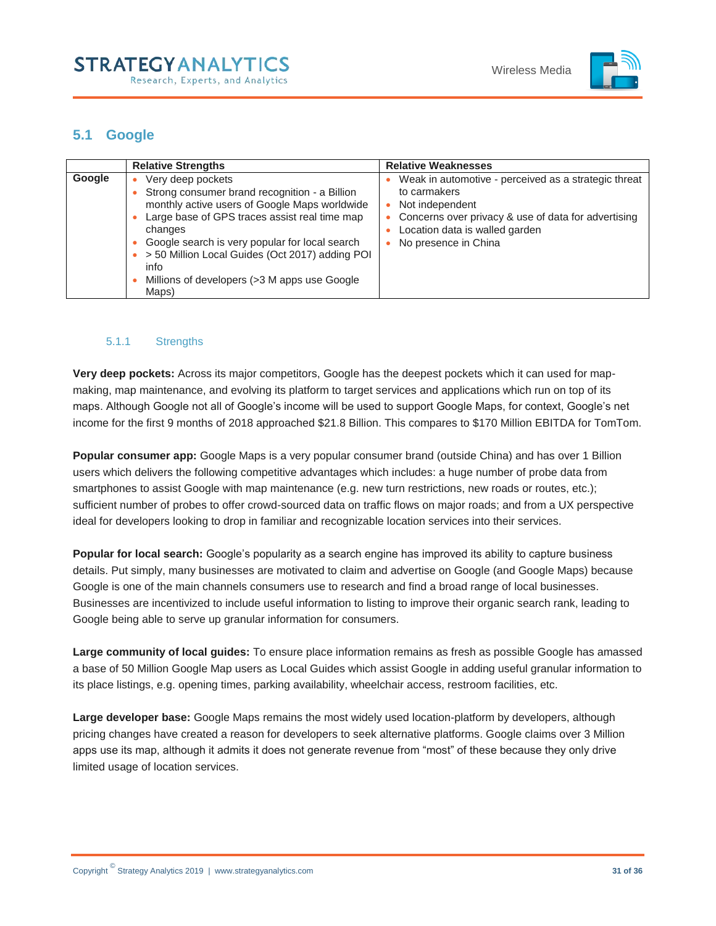

# <span id="page-30-0"></span>**5.1 Google**

|        | <b>Relative Strengths</b>                                                                                                                                                                                                                                                                                                                             | <b>Relative Weaknesses</b>                                                                                                                                                                               |
|--------|-------------------------------------------------------------------------------------------------------------------------------------------------------------------------------------------------------------------------------------------------------------------------------------------------------------------------------------------------------|----------------------------------------------------------------------------------------------------------------------------------------------------------------------------------------------------------|
| Google | Very deep pockets<br>Strong consumer brand recognition - a Billion<br>monthly active users of Google Maps worldwide<br>Large base of GPS traces assist real time map<br>changes<br>Google search is very popular for local search<br>> 50 Million Local Guides (Oct 2017) adding POI<br>info<br>Millions of developers (>3 M apps use Google<br>Maps) | Weak in automotive - perceived as a strategic threat<br>to carmakers<br>Not independent<br>Concerns over privacy & use of data for advertising<br>Location data is walled garden<br>No presence in China |

### <span id="page-30-1"></span>5.1.1 Strengths

**Very deep pockets:** Across its major competitors, Google has the deepest pockets which it can used for mapmaking, map maintenance, and evolving its platform to target services and applications which run on top of its maps. Although Google not all of Google's income will be used to support Google Maps, for context, Google's net income for the first 9 months of 2018 approached \$21.8 Billion. This compares to \$170 Million EBITDA for TomTom.

**Popular consumer app:** Google Maps is a very popular consumer brand (outside China) and has over 1 Billion users which delivers the following competitive advantages which includes: a huge number of probe data from smartphones to assist Google with map maintenance (e.g. new turn restrictions, new roads or routes, etc.); sufficient number of probes to offer crowd-sourced data on traffic flows on major roads; and from a UX perspective ideal for developers looking to drop in familiar and recognizable location services into their services.

**Popular for local search:** Google's popularity as a search engine has improved its ability to capture business details. Put simply, many businesses are motivated to claim and advertise on Google (and Google Maps) because Google is one of the main channels consumers use to research and find a broad range of local businesses. Businesses are incentivized to include useful information to listing to improve their organic search rank, leading to Google being able to serve up granular information for consumers.

**Large community of local guides:** To ensure place information remains as fresh as possible Google has amassed a base of 50 Million Google Map users as Local Guides which assist Google in adding useful granular information to its place listings, e.g. opening times, parking availability, wheelchair access, restroom facilities, etc.

**Large developer base:** Google Maps remains the most widely used location-platform by developers, although pricing changes have created a reason for developers to seek alternative platforms. Google claims over 3 Million apps use its map, although it admits it does not generate revenue from "most" of these because they only drive limited usage of location services.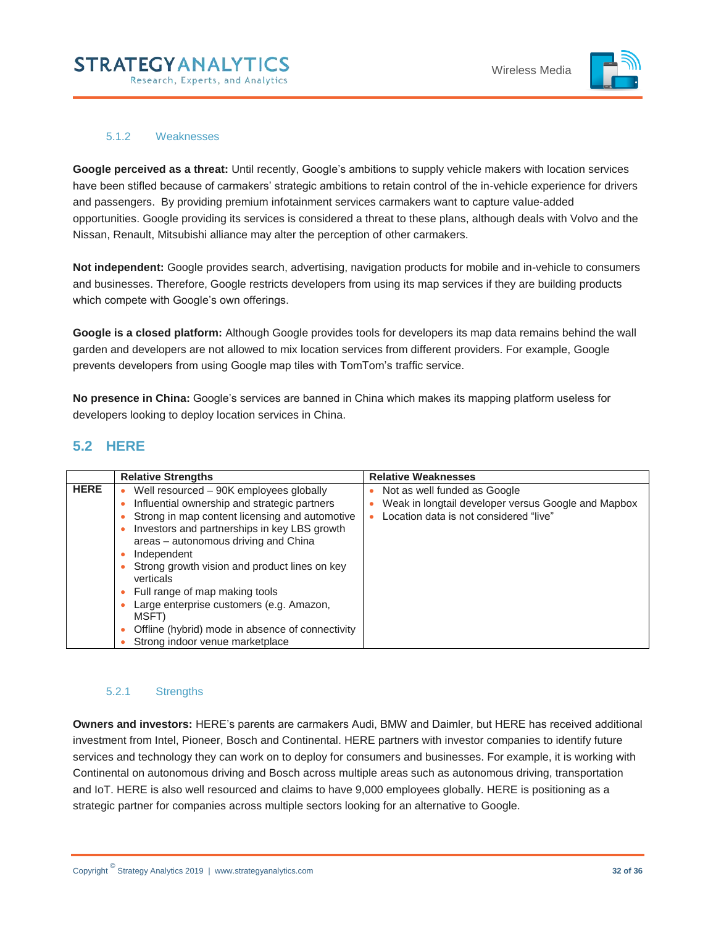

#### 5.1.2 Weaknesses

<span id="page-31-0"></span>**Google perceived as a threat:** Until recently, Google's ambitions to supply vehicle makers with location services have been stifled because of carmakers' strategic ambitions to retain control of the in-vehicle experience for drivers and passengers. By providing premium infotainment services carmakers want to capture value-added opportunities. Google providing its services is considered a threat to these plans, although deals with Volvo and the Nissan, Renault, Mitsubishi alliance may alter the perception of other carmakers.

**Not independent:** Google provides search, advertising, navigation products for mobile and in-vehicle to consumers and businesses. Therefore, Google restricts developers from using its map services if they are building products which compete with Google's own offerings.

**Google is a closed platform:** Although Google provides tools for developers its map data remains behind the wall garden and developers are not allowed to mix location services from different providers. For example, Google prevents developers from using Google map tiles with TomTom's traffic service.

**No presence in China:** Google's services are banned in China which makes its mapping platform useless for developers looking to deploy location services in China.

# <span id="page-31-1"></span>**5.2 HERE**

|             | <b>Relative Strengths</b>                                                                                                                                                                                                                                                                                                                                                                                                                                                                                                     | <b>Relative Weaknesses</b>                                                                                                    |
|-------------|-------------------------------------------------------------------------------------------------------------------------------------------------------------------------------------------------------------------------------------------------------------------------------------------------------------------------------------------------------------------------------------------------------------------------------------------------------------------------------------------------------------------------------|-------------------------------------------------------------------------------------------------------------------------------|
| <b>HERE</b> | Well resourced - 90K employees globally<br>Influential ownership and strategic partners<br>۰<br>Strong in map content licensing and automotive<br>۰<br>Investors and partnerships in key LBS growth<br>areas - autonomous driving and China<br>Independent<br>Strong growth vision and product lines on key<br>verticals<br>Full range of map making tools<br>۰<br>Large enterprise customers (e.g. Amazon,<br>۰<br>MSFT)<br>Offline (hybrid) mode in absence of connectivity<br>$\bullet$<br>Strong indoor venue marketplace | Not as well funded as Google<br>Weak in longtail developer versus Google and Mapbox<br>Location data is not considered "live" |

### <span id="page-31-2"></span>5.2.1 Strengths

**Owners and investors:** HERE's parents are carmakers Audi, BMW and Daimler, but HERE has received additional investment from Intel, Pioneer, Bosch and Continental. HERE partners with investor companies to identify future services and technology they can work on to deploy for consumers and businesses. For example, it is working with Continental on autonomous driving and Bosch across multiple areas such as autonomous driving, transportation and IoT. HERE is also well resourced and claims to have 9,000 employees globally. HERE is positioning as a strategic partner for companies across multiple sectors looking for an alternative to Google.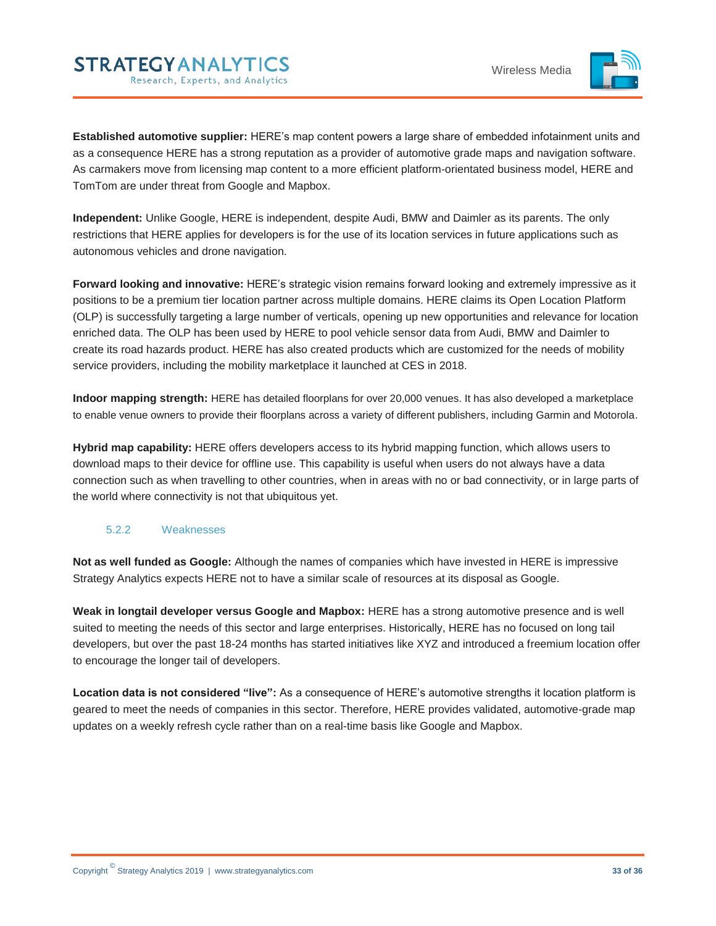

**Established automotive supplier:** HERE's map content powers a large share of embedded infotainment units and as a consequence HERE has a strong reputation as a provider of automotive grade maps and navigation software. As carmakers move from licensing map content to a more efficient platform-orientated business model, HERE and TomTom are under threat from Google and Mapbox.

**Independent:** Unlike Google, HERE is independent, despite Audi, BMW and Daimler as its parents. The only restrictions that HERE applies for developers is for the use of its location services in future applications such as autonomous vehicles and drone navigation.

**Forward looking and innovative:** HERE's strategic vision remains forward looking and extremely impressive as it positions to be a premium tier location partner across multiple domains. HERE claims its Open Location Platform (OLP) is successfully targeting a large number of verticals, opening up new opportunities and relevance for location enriched data. The OLP has been used by HERE to pool vehicle sensor data from Audi, BMW and Daimler to create its road hazards product. HERE has also created products which are customized for the needs of mobility service providers, including the mobility marketplace it launched at CES in 2018.

**Indoor mapping strength:** HERE has detailed floorplans for over 20,000 venues. It has also developed a marketplace to enable venue owners to provide their floorplans across a variety of different publishers, including Garmin and Motorola.

**Hybrid map capability:** HERE offers developers access to its hybrid mapping function, which allows users to download maps to their device for offline use. This capability is useful when users do not always have a data connection such as when travelling to other countries, when in areas with no or bad connectivity, or in large parts of the world where connectivity is not that ubiquitous yet.

#### <span id="page-32-0"></span>5.2.2 Weaknesses

**Not as well funded as Google:** Although the names of companies which have invested in HERE is impressive Strategy Analytics expects HERE not to have a similar scale of resources at its disposal as Google.

**Weak in longtail developer versus Google and Mapbox:** HERE has a strong automotive presence and is well suited to meeting the needs of this sector and large enterprises. Historically, HERE has no focused on long tail developers, but over the past 18-24 months has started initiatives like XYZ and introduced a freemium location offer to encourage the longer tail of developers.

**Location data is not considered "live":** As a consequence of HERE's automotive strengths it location platform is geared to meet the needs of companies in this sector. Therefore, HERE provides validated, automotive-grade map updates on a weekly refresh cycle rather than on a real-time basis like Google and Mapbox.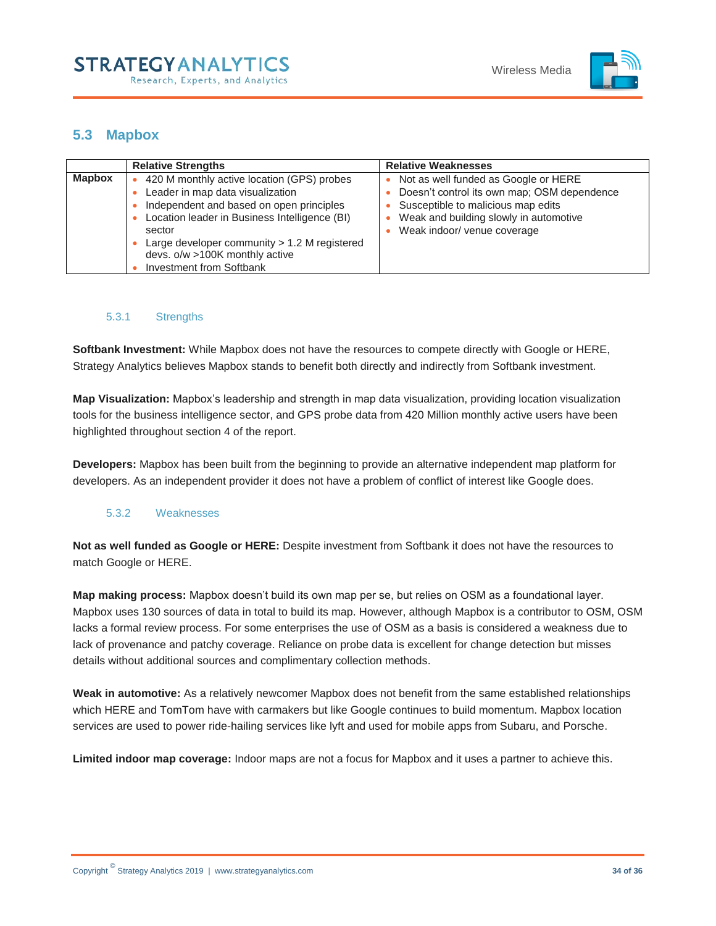

# <span id="page-33-0"></span>**5.3 Mapbox**

|               | <b>Relative Strengths</b>                                                                                                                                                                                                                                                                                    | <b>Relative Weaknesses</b>                                                                                                                                                                         |
|---------------|--------------------------------------------------------------------------------------------------------------------------------------------------------------------------------------------------------------------------------------------------------------------------------------------------------------|----------------------------------------------------------------------------------------------------------------------------------------------------------------------------------------------------|
| <b>Mapbox</b> | 420 M monthly active location (GPS) probes<br>Leader in map data visualization<br>Independent and based on open principles<br>Location leader in Business Intelligence (BI)<br>sector<br>Large developer community $> 1.2$ M registered<br>devs. o/w >100K monthly active<br><b>Investment from Softbank</b> | Not as well funded as Google or HERE<br>Doesn't control its own map; OSM dependence<br>Susceptible to malicious map edits<br>Weak and building slowly in automotive<br>Weak indoor/ venue coverage |

### <span id="page-33-1"></span>5.3.1 Strengths

**Softbank Investment:** While Mapbox does not have the resources to compete directly with Google or HERE, Strategy Analytics believes Mapbox stands to benefit both directly and indirectly from Softbank investment.

**Map Visualization:** Mapbox's leadership and strength in map data visualization, providing location visualization tools for the business intelligence sector, and GPS probe data from 420 Million monthly active users have been highlighted throughout section 4 of the report.

**Developers:** Mapbox has been built from the beginning to provide an alternative independent map platform for developers. As an independent provider it does not have a problem of conflict of interest like Google does.

#### <span id="page-33-2"></span>5.3.2 Weaknesses

**Not as well funded as Google or HERE:** Despite investment from Softbank it does not have the resources to match Google or HERE.

**Map making process:** Mapbox doesn't build its own map per se, but relies on OSM as a foundational layer. Mapbox uses 130 sources of data in total to build its map. However, although Mapbox is a contributor to OSM, OSM lacks a formal review process. For some enterprises the use of OSM as a basis is considered a weakness due to lack of provenance and patchy coverage. Reliance on probe data is excellent for change detection but misses details without additional sources and complimentary collection methods.

**Weak in automotive:** As a relatively newcomer Mapbox does not benefit from the same established relationships which HERE and TomTom have with carmakers but like Google continues to build momentum. Mapbox location services are used to power ride-hailing services like lyft and used for mobile apps from Subaru, and Porsche.

**Limited indoor map coverage:** Indoor maps are not a focus for Mapbox and it uses a partner to achieve this.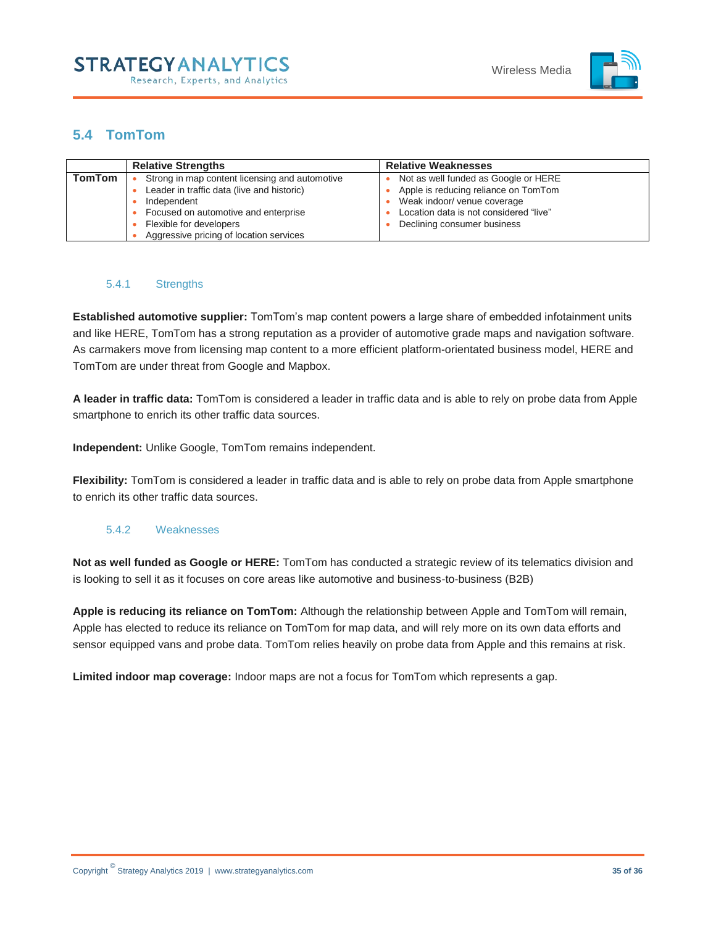

# <span id="page-34-0"></span>**5.4 TomTom**

|               | <b>Relative Strengths</b>                      | <b>Relative Weaknesses</b>             |
|---------------|------------------------------------------------|----------------------------------------|
| <b>TomTom</b> | Strong in map content licensing and automotive | Not as well funded as Google or HERE   |
|               | Leader in traffic data (live and historic)     | Apple is reducing reliance on TomTom   |
|               | Independent                                    | Weak indoor/ venue coverage            |
|               | Focused on automotive and enterprise           | Location data is not considered "live" |
|               | Flexible for developers                        | Declining consumer business            |
|               | Aggressive pricing of location services        |                                        |

#### <span id="page-34-1"></span>5.4.1 Strengths

**Established automotive supplier:** TomTom's map content powers a large share of embedded infotainment units and like HERE, TomTom has a strong reputation as a provider of automotive grade maps and navigation software. As carmakers move from licensing map content to a more efficient platform-orientated business model, HERE and TomTom are under threat from Google and Mapbox.

**A leader in traffic data:** TomTom is considered a leader in traffic data and is able to rely on probe data from Apple smartphone to enrich its other traffic data sources.

**Independent:** Unlike Google, TomTom remains independent.

**Flexibility:** TomTom is considered a leader in traffic data and is able to rely on probe data from Apple smartphone to enrich its other traffic data sources.

### <span id="page-34-2"></span>5.4.2 Weaknesses

**Not as well funded as Google or HERE:** TomTom has conducted a strategic review of its telematics division and is looking to sell it as it focuses on core areas like automotive and business-to-business (B2B)

**Apple is reducing its reliance on TomTom:** Although the relationship between Apple and TomTom will remain, Apple has elected to reduce its reliance on TomTom for map data, and will rely more on its own data efforts and sensor equipped vans and probe data. TomTom relies heavily on probe data from Apple and this remains at risk.

**Limited indoor map coverage:** Indoor maps are not a focus for TomTom which represents a gap.